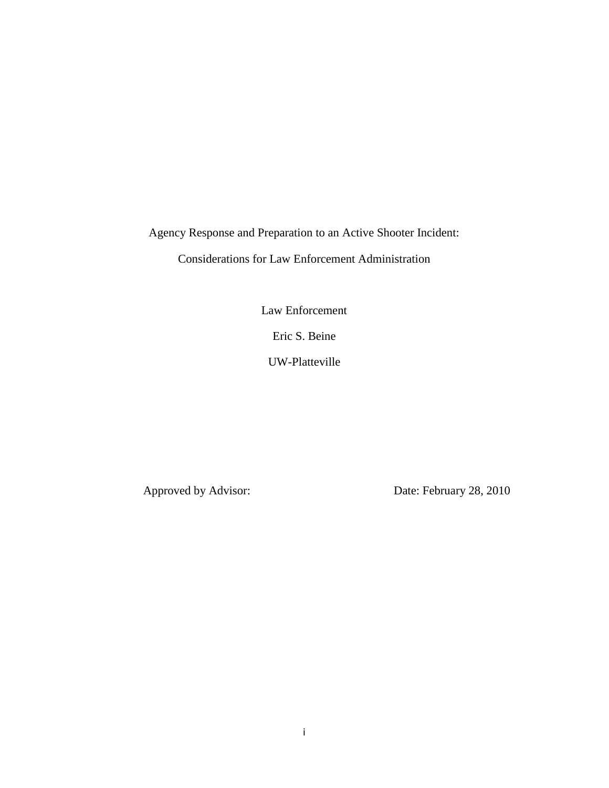Agency Response and Preparation to an Active Shooter Incident:

Considerations for Law Enforcement Administration

Law Enforcement

Eric S. Beine

UW-Platteville

Approved by Advisor: Date: February 28, 2010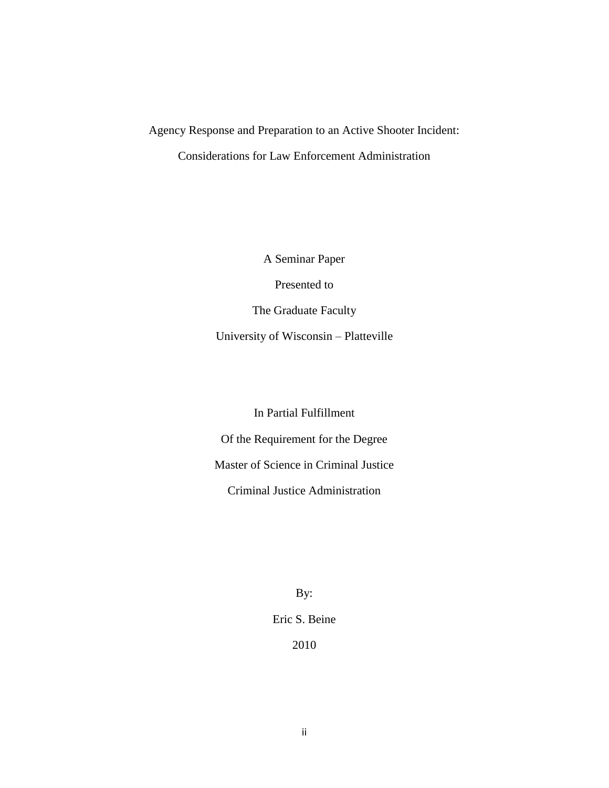# Agency Response and Preparation to an Active Shooter Incident: Considerations for Law Enforcement Administration

A Seminar Paper Presented to The Graduate Faculty University of Wisconsin – Platteville

In Partial Fulfillment Of the Requirement for the Degree Master of Science in Criminal Justice Criminal Justice Administration

> By: Eric S. Beine 2010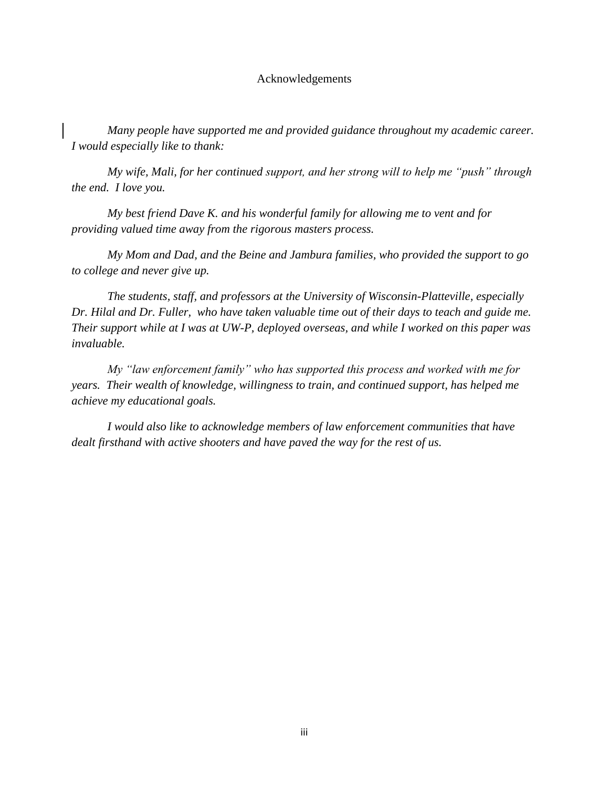#### Acknowledgements

*Many people have supported me and provided guidance throughout my academic career. I would especially like to thank:*

*My wife, Mali, for her continued support, and her strong will to help me "push" through the end. I love you.*

*My best friend Dave K. and his wonderful family for allowing me to vent and for providing valued time away from the rigorous masters process.*

*My Mom and Dad, and the Beine and Jambura families, who provided the support to go to college and never give up.* 

*The students, staff, and professors at the University of Wisconsin-Platteville, especially Dr. Hilal and Dr. Fuller, who have taken valuable time out of their days to teach and guide me. Their support while at I was at UW-P, deployed overseas, and while I worked on this paper was invaluable.* 

*My "law enforcement family" who has supported this process and worked with me for years. Their wealth of knowledge, willingness to train, and continued support, has helped me achieve my educational goals.* 

*I would also like to acknowledge members of law enforcement communities that have dealt firsthand with active shooters and have paved the way for the rest of us.*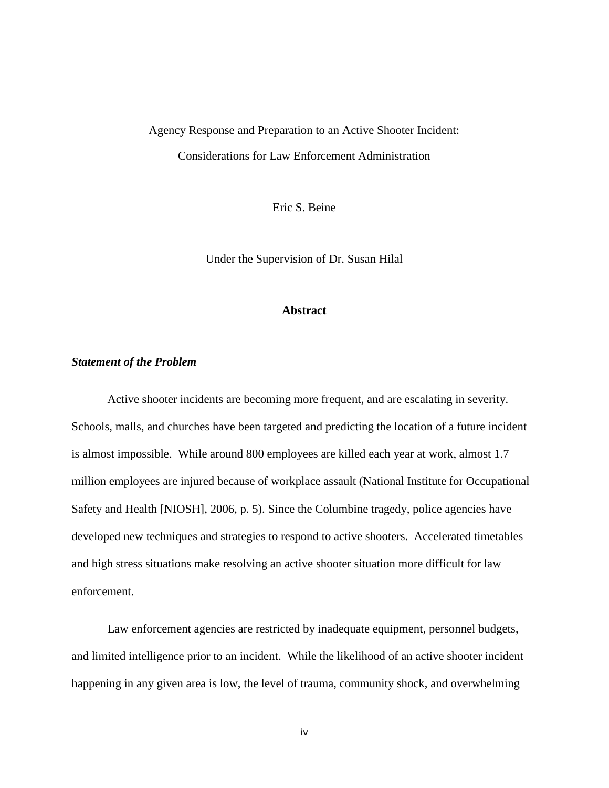## Agency Response and Preparation to an Active Shooter Incident: Considerations for Law Enforcement Administration

Eric S. Beine

Under the Supervision of Dr. Susan Hilal

#### **Abstract**

## *Statement of the Problem*

Active shooter incidents are becoming more frequent, and are escalating in severity. Schools, malls, and churches have been targeted and predicting the location of a future incident is almost impossible. While around 800 employees are killed each year at work, almost 1.7 million employees are injured because of workplace assault (National Institute for Occupational Safety and Health [NIOSH], 2006, p. 5). Since the Columbine tragedy, police agencies have developed new techniques and strategies to respond to active shooters. Accelerated timetables and high stress situations make resolving an active shooter situation more difficult for law enforcement.

Law enforcement agencies are restricted by inadequate equipment, personnel budgets, and limited intelligence prior to an incident. While the likelihood of an active shooter incident happening in any given area is low, the level of trauma, community shock, and overwhelming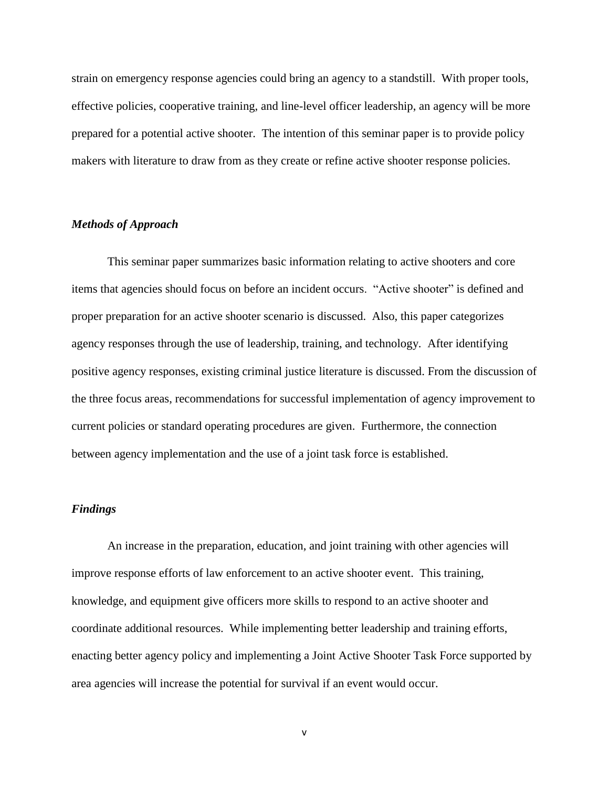strain on emergency response agencies could bring an agency to a standstill. With proper tools, effective policies, cooperative training, and line-level officer leadership, an agency will be more prepared for a potential active shooter. The intention of this seminar paper is to provide policy makers with literature to draw from as they create or refine active shooter response policies.

## *Methods of Approach*

This seminar paper summarizes basic information relating to active shooters and core items that agencies should focus on before an incident occurs. "Active shooter" is defined and proper preparation for an active shooter scenario is discussed. Also, this paper categorizes agency responses through the use of leadership, training, and technology. After identifying positive agency responses, existing criminal justice literature is discussed. From the discussion of the three focus areas, recommendations for successful implementation of agency improvement to current policies or standard operating procedures are given. Furthermore, the connection between agency implementation and the use of a joint task force is established.

## *Findings*

An increase in the preparation, education, and joint training with other agencies will improve response efforts of law enforcement to an active shooter event. This training, knowledge, and equipment give officers more skills to respond to an active shooter and coordinate additional resources. While implementing better leadership and training efforts, enacting better agency policy and implementing a Joint Active Shooter Task Force supported by area agencies will increase the potential for survival if an event would occur.

v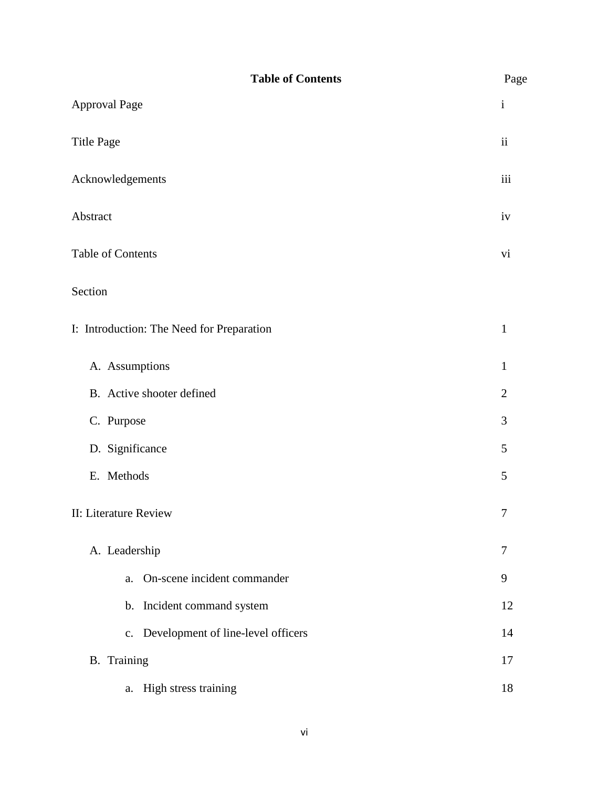| <b>Table of Contents</b>                  | Page           |
|-------------------------------------------|----------------|
| <b>Approval Page</b>                      | $\mathbf{i}$   |
| <b>Title Page</b>                         | $\rm ii$       |
| Acknowledgements                          | iii            |
| Abstract                                  | iv             |
| Table of Contents                         | vi             |
| Section                                   |                |
| I: Introduction: The Need for Preparation | $\mathbf{1}$   |
| A. Assumptions                            | $\mathbf{1}$   |
| B. Active shooter defined                 | $\mathfrak{2}$ |
| C. Purpose                                | 3              |
| D. Significance                           | 5              |
| E. Methods                                | 5              |
| II: Literature Review                     | $\tau$         |
| A. Leadership                             | 7              |
| On-scene incident commander<br>a.         | 9              |
| b. Incident command system                | 12             |
| c. Development of line-level officers     | 14             |
| <b>B.</b> Training                        | 17             |
| a. High stress training                   | 18             |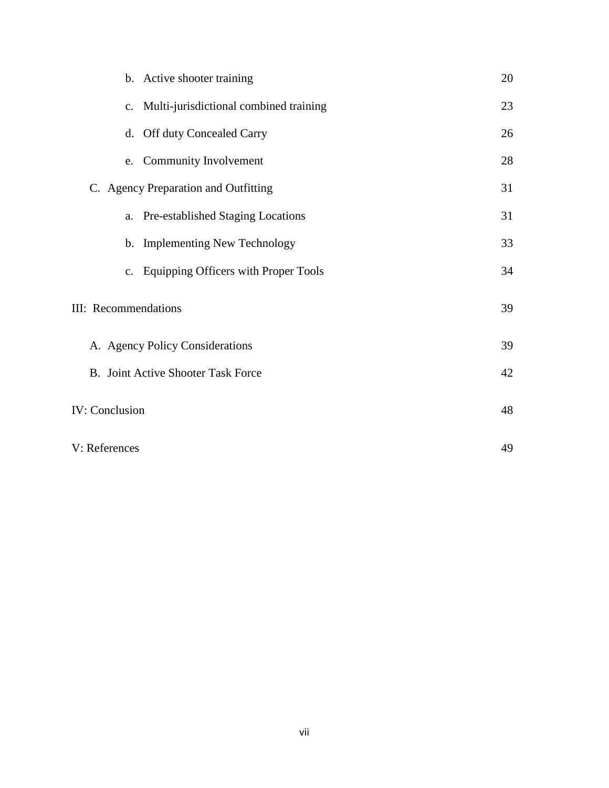| b. Active shooter training                | 20 |
|-------------------------------------------|----|
| c. Multi-jurisdictional combined training | 23 |
| d. Off duty Concealed Carry               | 26 |
| <b>Community Involvement</b><br>e.        | 28 |
| C. Agency Preparation and Outfitting      | 31 |
| a. Pre-established Staging Locations      | 31 |
| b. Implementing New Technology            | 33 |
| c. Equipping Officers with Proper Tools   | 34 |
| <b>III:</b> Recommendations               | 39 |
| A. Agency Policy Considerations           | 39 |
| B. Joint Active Shooter Task Force        | 42 |
| <b>IV: Conclusion</b>                     | 48 |
| V: References                             | 49 |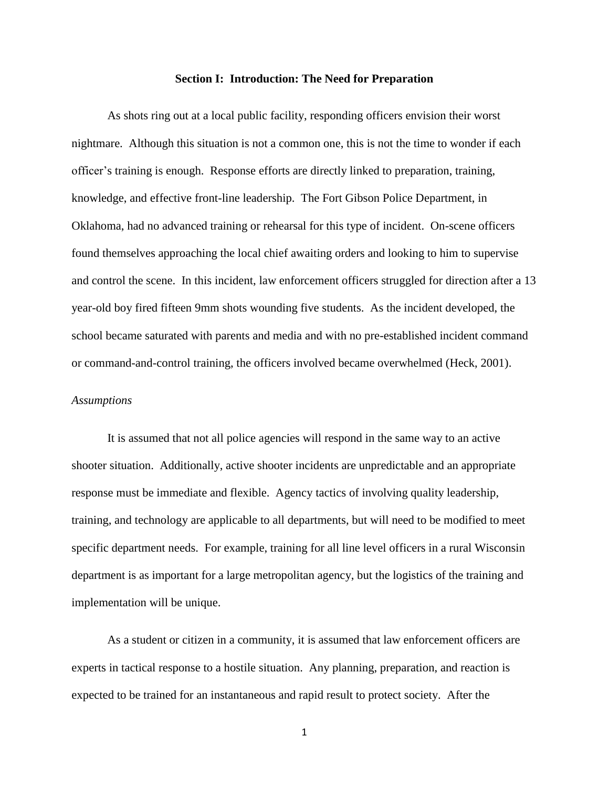#### **Section I: Introduction: The Need for Preparation**

As shots ring out at a local public facility, responding officers envision their worst nightmare. Although this situation is not a common one, this is not the time to wonder if each officer's training is enough. Response efforts are directly linked to preparation, training, knowledge, and effective front-line leadership. The Fort Gibson Police Department, in Oklahoma, had no advanced training or rehearsal for this type of incident. On-scene officers found themselves approaching the local chief awaiting orders and looking to him to supervise and control the scene. In this incident, law enforcement officers struggled for direction after a 13 year-old boy fired fifteen 9mm shots wounding five students. As the incident developed, the school became saturated with parents and media and with no pre-established incident command or command-and-control training, the officers involved became overwhelmed (Heck, 2001).

#### *Assumptions*

It is assumed that not all police agencies will respond in the same way to an active shooter situation. Additionally, active shooter incidents are unpredictable and an appropriate response must be immediate and flexible. Agency tactics of involving quality leadership, training, and technology are applicable to all departments, but will need to be modified to meet specific department needs. For example, training for all line level officers in a rural Wisconsin department is as important for a large metropolitan agency, but the logistics of the training and implementation will be unique.

As a student or citizen in a community, it is assumed that law enforcement officers are experts in tactical response to a hostile situation. Any planning, preparation, and reaction is expected to be trained for an instantaneous and rapid result to protect society. After the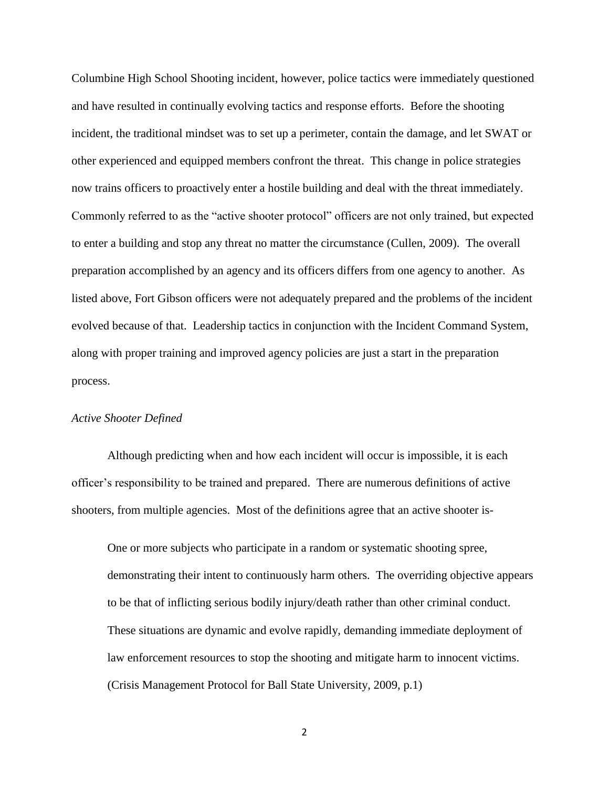Columbine High School Shooting incident, however, police tactics were immediately questioned and have resulted in continually evolving tactics and response efforts. Before the shooting incident, the traditional mindset was to set up a perimeter, contain the damage, and let SWAT or other experienced and equipped members confront the threat. This change in police strategies now trains officers to proactively enter a hostile building and deal with the threat immediately. Commonly referred to as the "active shooter protocol" officers are not only trained, but expected to enter a building and stop any threat no matter the circumstance (Cullen, 2009). The overall preparation accomplished by an agency and its officers differs from one agency to another. As listed above, Fort Gibson officers were not adequately prepared and the problems of the incident evolved because of that. Leadership tactics in conjunction with the Incident Command System, along with proper training and improved agency policies are just a start in the preparation process.

#### *Active Shooter Defined*

Although predicting when and how each incident will occur is impossible, it is each officer's responsibility to be trained and prepared. There are numerous definitions of active shooters, from multiple agencies. Most of the definitions agree that an active shooter is-

One or more subjects who participate in a random or systematic shooting spree, demonstrating their intent to continuously harm others. The overriding objective appears to be that of inflicting serious bodily injury/death rather than other criminal conduct. These situations are dynamic and evolve rapidly, demanding immediate deployment of law enforcement resources to stop the shooting and mitigate harm to innocent victims. (Crisis Management Protocol for Ball State University, 2009, p.1)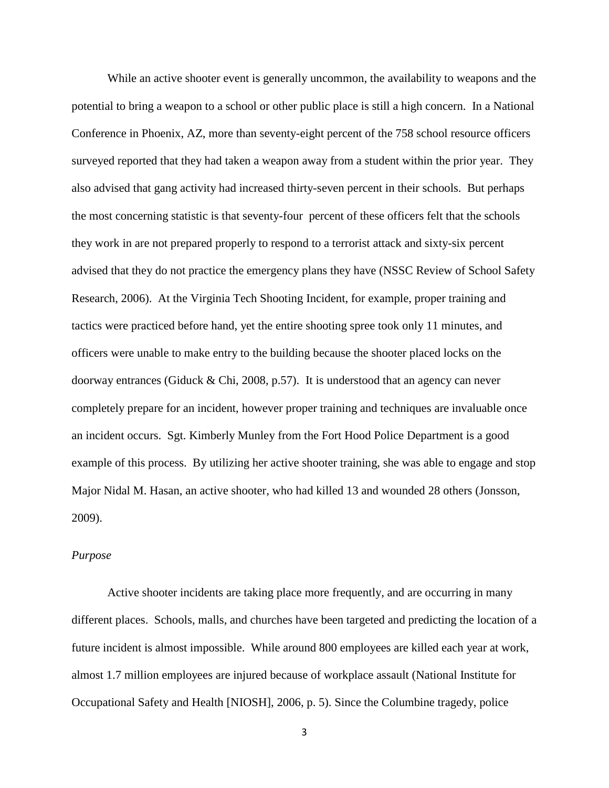While an active shooter event is generally uncommon, the availability to weapons and the potential to bring a weapon to a school or other public place is still a high concern. In a National Conference in Phoenix, AZ, more than seventy-eight percent of the 758 school resource officers surveyed reported that they had taken a weapon away from a student within the prior year. They also advised that gang activity had increased thirty-seven percent in their schools. But perhaps the most concerning statistic is that seventy-four percent of these officers felt that the schools they work in are not prepared properly to respond to a terrorist attack and sixty-six percent advised that they do not practice the emergency plans they have (NSSC Review of School Safety Research, 2006). At the Virginia Tech Shooting Incident, for example, proper training and tactics were practiced before hand, yet the entire shooting spree took only 11 minutes, and officers were unable to make entry to the building because the shooter placed locks on the doorway entrances (Giduck & Chi, 2008, p.57). It is understood that an agency can never completely prepare for an incident, however proper training and techniques are invaluable once an incident occurs. Sgt. Kimberly Munley from the Fort Hood Police Department is a good example of this process. By utilizing her active shooter training, she was able to engage and stop Major Nidal M. Hasan, an active shooter, who had killed 13 and wounded 28 others (Jonsson, 2009).

## *Purpose*

Active shooter incidents are taking place more frequently, and are occurring in many different places. Schools, malls, and churches have been targeted and predicting the location of a future incident is almost impossible. While around 800 employees are killed each year at work, almost 1.7 million employees are injured because of workplace assault (National Institute for Occupational Safety and Health [NIOSH], 2006, p. 5). Since the Columbine tragedy, police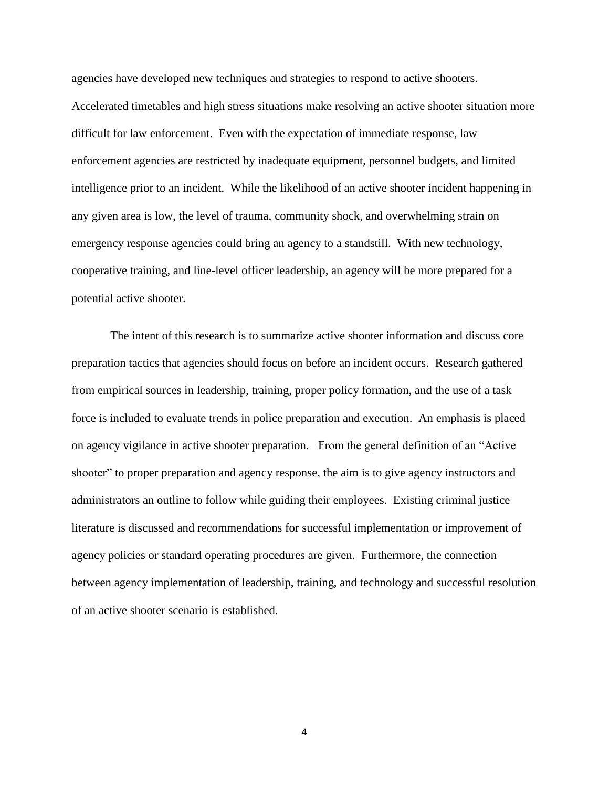agencies have developed new techniques and strategies to respond to active shooters. Accelerated timetables and high stress situations make resolving an active shooter situation more difficult for law enforcement. Even with the expectation of immediate response, law enforcement agencies are restricted by inadequate equipment, personnel budgets, and limited intelligence prior to an incident. While the likelihood of an active shooter incident happening in any given area is low, the level of trauma, community shock, and overwhelming strain on emergency response agencies could bring an agency to a standstill. With new technology, cooperative training, and line-level officer leadership, an agency will be more prepared for a potential active shooter.

The intent of this research is to summarize active shooter information and discuss core preparation tactics that agencies should focus on before an incident occurs. Research gathered from empirical sources in leadership, training, proper policy formation, and the use of a task force is included to evaluate trends in police preparation and execution. An emphasis is placed on agency vigilance in active shooter preparation. From the general definition of an "Active shooter" to proper preparation and agency response, the aim is to give agency instructors and administrators an outline to follow while guiding their employees. Existing criminal justice literature is discussed and recommendations for successful implementation or improvement of agency policies or standard operating procedures are given. Furthermore, the connection between agency implementation of leadership, training, and technology and successful resolution of an active shooter scenario is established.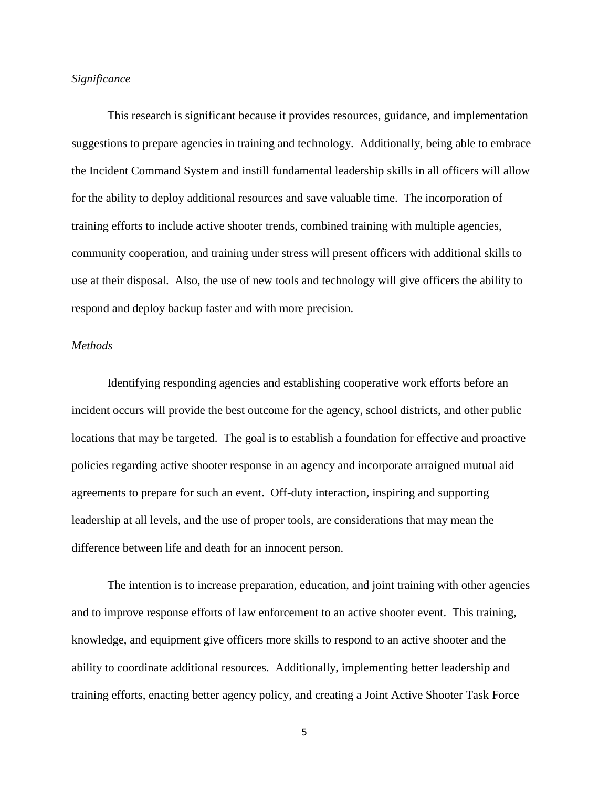## *Significance*

This research is significant because it provides resources, guidance, and implementation suggestions to prepare agencies in training and technology. Additionally, being able to embrace the Incident Command System and instill fundamental leadership skills in all officers will allow for the ability to deploy additional resources and save valuable time. The incorporation of training efforts to include active shooter trends, combined training with multiple agencies, community cooperation, and training under stress will present officers with additional skills to use at their disposal. Also, the use of new tools and technology will give officers the ability to respond and deploy backup faster and with more precision.

## *Methods*

Identifying responding agencies and establishing cooperative work efforts before an incident occurs will provide the best outcome for the agency, school districts, and other public locations that may be targeted. The goal is to establish a foundation for effective and proactive policies regarding active shooter response in an agency and incorporate arraigned mutual aid agreements to prepare for such an event. Off-duty interaction, inspiring and supporting leadership at all levels, and the use of proper tools, are considerations that may mean the difference between life and death for an innocent person.

The intention is to increase preparation, education, and joint training with other agencies and to improve response efforts of law enforcement to an active shooter event. This training, knowledge, and equipment give officers more skills to respond to an active shooter and the ability to coordinate additional resources. Additionally, implementing better leadership and training efforts, enacting better agency policy, and creating a Joint Active Shooter Task Force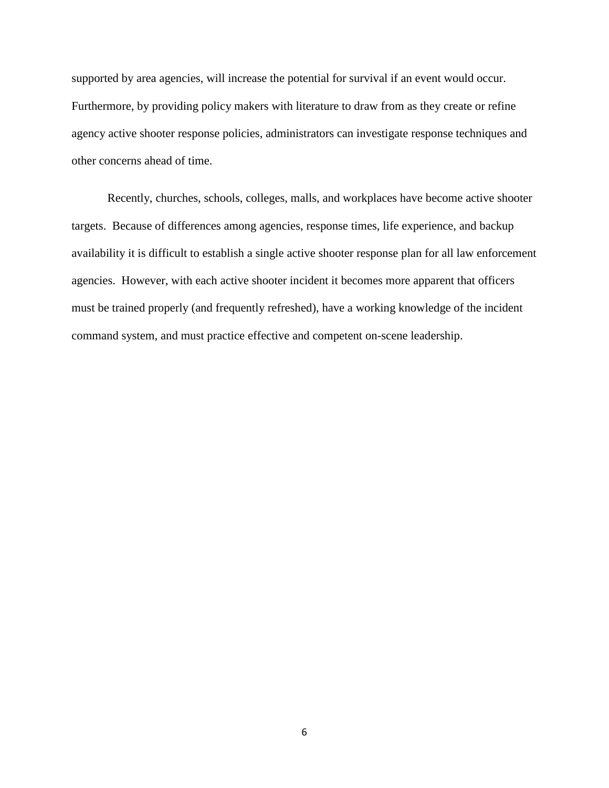supported by area agencies, will increase the potential for survival if an event would occur. Furthermore, by providing policy makers with literature to draw from as they create or refine agency active shooter response policies, administrators can investigate response techniques and other concerns ahead of time.

Recently, churches, schools, colleges, malls, and workplaces have become active shooter targets. Because of differences among agencies, response times, life experience, and backup availability it is difficult to establish a single active shooter response plan for all law enforcement agencies. However, with each active shooter incident it becomes more apparent that officers must be trained properly (and frequently refreshed), have a working knowledge of the incident command system, and must practice effective and competent on-scene leadership.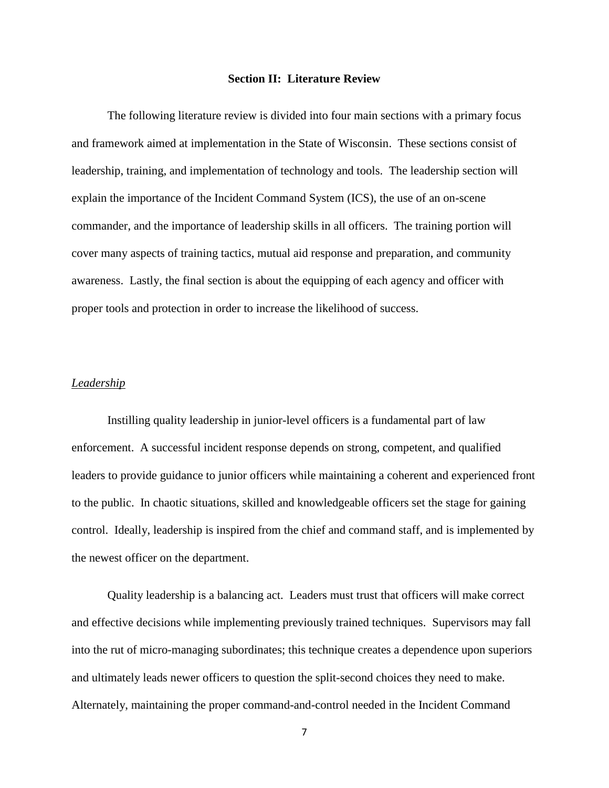#### **Section II: Literature Review**

The following literature review is divided into four main sections with a primary focus and framework aimed at implementation in the State of Wisconsin. These sections consist of leadership, training, and implementation of technology and tools. The leadership section will explain the importance of the Incident Command System (ICS), the use of an on-scene commander, and the importance of leadership skills in all officers. The training portion will cover many aspects of training tactics, mutual aid response and preparation, and community awareness. Lastly, the final section is about the equipping of each agency and officer with proper tools and protection in order to increase the likelihood of success.

## *Leadership*

Instilling quality leadership in junior-level officers is a fundamental part of law enforcement. A successful incident response depends on strong, competent, and qualified leaders to provide guidance to junior officers while maintaining a coherent and experienced front to the public. In chaotic situations, skilled and knowledgeable officers set the stage for gaining control. Ideally, leadership is inspired from the chief and command staff, and is implemented by the newest officer on the department.

Quality leadership is a balancing act. Leaders must trust that officers will make correct and effective decisions while implementing previously trained techniques. Supervisors may fall into the rut of micro-managing subordinates; this technique creates a dependence upon superiors and ultimately leads newer officers to question the split-second choices they need to make. Alternately, maintaining the proper command-and-control needed in the Incident Command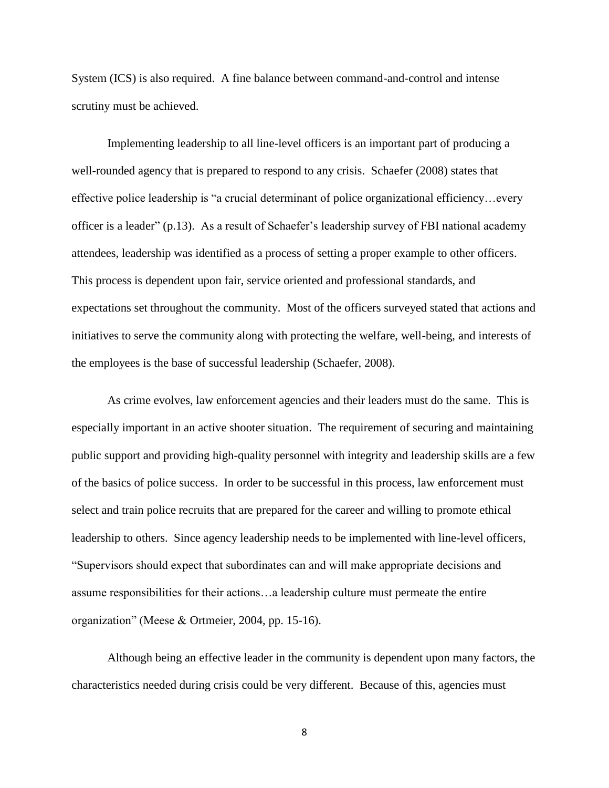System (ICS) is also required. A fine balance between command-and-control and intense scrutiny must be achieved.

Implementing leadership to all line-level officers is an important part of producing a well-rounded agency that is prepared to respond to any crisis. Schaefer (2008) states that effective police leadership is "a crucial determinant of police organizational efficiency…every officer is a leader" (p.13). As a result of Schaefer's leadership survey of FBI national academy attendees, leadership was identified as a process of setting a proper example to other officers. This process is dependent upon fair, service oriented and professional standards, and expectations set throughout the community. Most of the officers surveyed stated that actions and initiatives to serve the community along with protecting the welfare, well-being, and interests of the employees is the base of successful leadership (Schaefer, 2008).

As crime evolves, law enforcement agencies and their leaders must do the same. This is especially important in an active shooter situation. The requirement of securing and maintaining public support and providing high-quality personnel with integrity and leadership skills are a few of the basics of police success. In order to be successful in this process, law enforcement must select and train police recruits that are prepared for the career and willing to promote ethical leadership to others. Since agency leadership needs to be implemented with line-level officers, "Supervisors should expect that subordinates can and will make appropriate decisions and assume responsibilities for their actions…a leadership culture must permeate the entire organization" (Meese & Ortmeier, 2004, pp. 15-16).

Although being an effective leader in the community is dependent upon many factors, the characteristics needed during crisis could be very different. Because of this, agencies must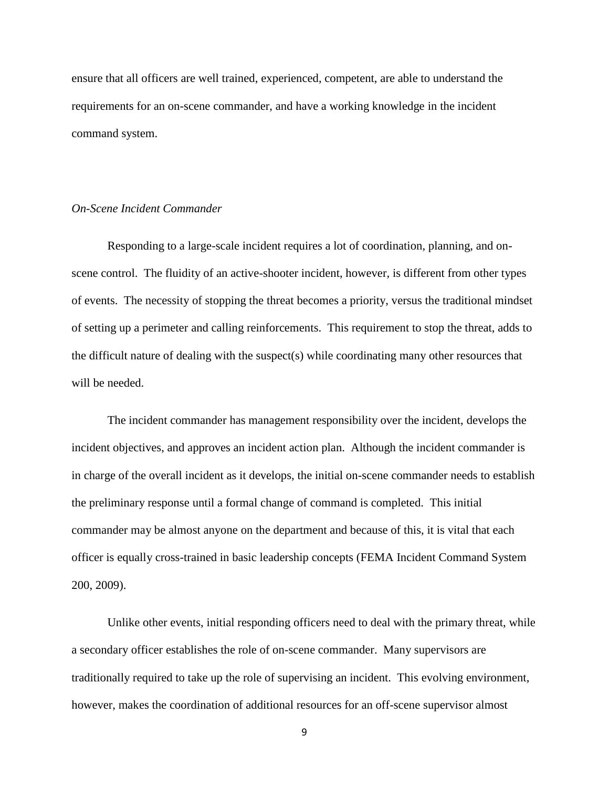ensure that all officers are well trained, experienced, competent, are able to understand the requirements for an on-scene commander, and have a working knowledge in the incident command system.

## *On-Scene Incident Commander*

Responding to a large-scale incident requires a lot of coordination, planning, and onscene control. The fluidity of an active-shooter incident, however, is different from other types of events. The necessity of stopping the threat becomes a priority, versus the traditional mindset of setting up a perimeter and calling reinforcements. This requirement to stop the threat, adds to the difficult nature of dealing with the suspect(s) while coordinating many other resources that will be needed.

The incident commander has management responsibility over the incident, develops the incident objectives, and approves an incident action plan. Although the incident commander is in charge of the overall incident as it develops, the initial on-scene commander needs to establish the preliminary response until a formal change of command is completed. This initial commander may be almost anyone on the department and because of this, it is vital that each officer is equally cross-trained in basic leadership concepts (FEMA Incident Command System 200, 2009).

Unlike other events, initial responding officers need to deal with the primary threat, while a secondary officer establishes the role of on-scene commander. Many supervisors are traditionally required to take up the role of supervising an incident. This evolving environment, however, makes the coordination of additional resources for an off-scene supervisor almost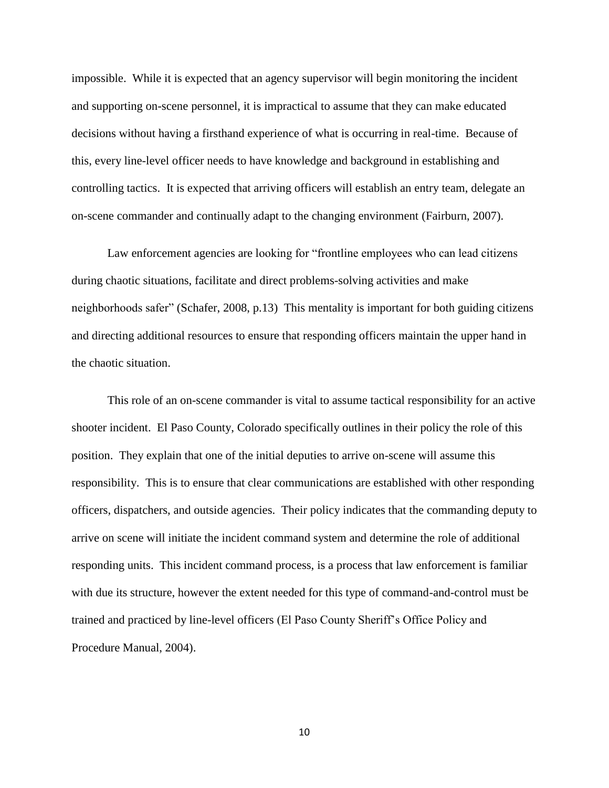impossible. While it is expected that an agency supervisor will begin monitoring the incident and supporting on-scene personnel, it is impractical to assume that they can make educated decisions without having a firsthand experience of what is occurring in real-time. Because of this, every line-level officer needs to have knowledge and background in establishing and controlling tactics. It is expected that arriving officers will establish an entry team, delegate an on-scene commander and continually adapt to the changing environment (Fairburn, 2007).

Law enforcement agencies are looking for "frontline employees who can lead citizens during chaotic situations, facilitate and direct problems-solving activities and make neighborhoods safer" (Schafer, 2008, p.13) This mentality is important for both guiding citizens and directing additional resources to ensure that responding officers maintain the upper hand in the chaotic situation.

This role of an on-scene commander is vital to assume tactical responsibility for an active shooter incident. El Paso County, Colorado specifically outlines in their policy the role of this position. They explain that one of the initial deputies to arrive on-scene will assume this responsibility. This is to ensure that clear communications are established with other responding officers, dispatchers, and outside agencies. Their policy indicates that the commanding deputy to arrive on scene will initiate the incident command system and determine the role of additional responding units. This incident command process, is a process that law enforcement is familiar with due its structure, however the extent needed for this type of command-and-control must be trained and practiced by line-level officers (El Paso County Sheriff's Office Policy and Procedure Manual, 2004).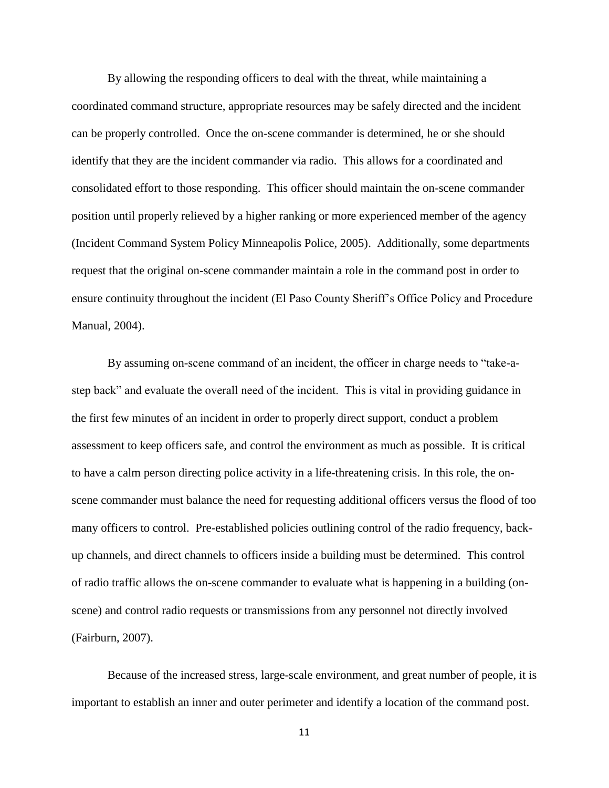By allowing the responding officers to deal with the threat, while maintaining a coordinated command structure, appropriate resources may be safely directed and the incident can be properly controlled. Once the on-scene commander is determined, he or she should identify that they are the incident commander via radio. This allows for a coordinated and consolidated effort to those responding. This officer should maintain the on-scene commander position until properly relieved by a higher ranking or more experienced member of the agency (Incident Command System Policy Minneapolis Police, 2005). Additionally, some departments request that the original on-scene commander maintain a role in the command post in order to ensure continuity throughout the incident (El Paso County Sheriff's Office Policy and Procedure Manual, 2004).

By assuming on-scene command of an incident, the officer in charge needs to "take-astep back" and evaluate the overall need of the incident. This is vital in providing guidance in the first few minutes of an incident in order to properly direct support, conduct a problem assessment to keep officers safe, and control the environment as much as possible. It is critical to have a calm person directing police activity in a life-threatening crisis. In this role, the onscene commander must balance the need for requesting additional officers versus the flood of too many officers to control. Pre-established policies outlining control of the radio frequency, backup channels, and direct channels to officers inside a building must be determined. This control of radio traffic allows the on-scene commander to evaluate what is happening in a building (onscene) and control radio requests or transmissions from any personnel not directly involved (Fairburn, 2007).

Because of the increased stress, large-scale environment, and great number of people, it is important to establish an inner and outer perimeter and identify a location of the command post.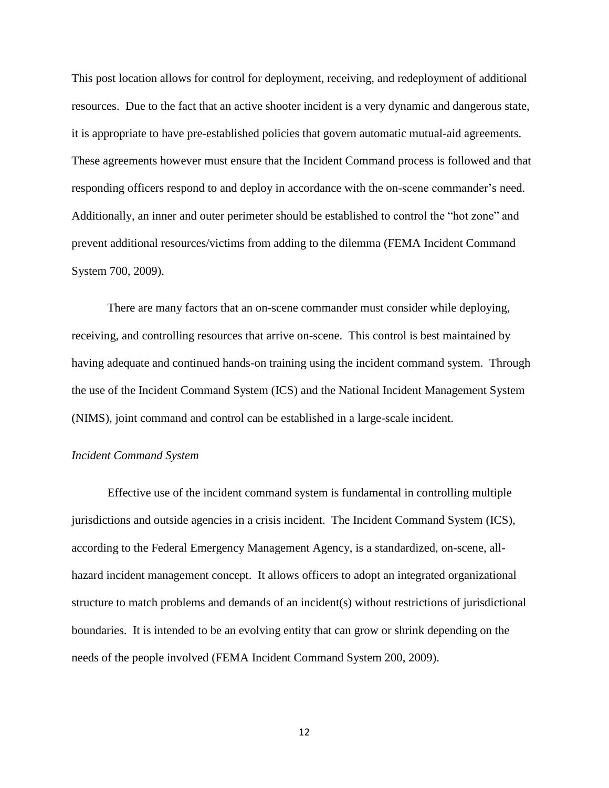This post location allows for control for deployment, receiving, and redeployment of additional resources. Due to the fact that an active shooter incident is a very dynamic and dangerous state, it is appropriate to have pre-established policies that govern automatic mutual-aid agreements. These agreements however must ensure that the Incident Command process is followed and that responding officers respond to and deploy in accordance with the on-scene commander's need. Additionally, an inner and outer perimeter should be established to control the "hot zone" and prevent additional resources/victims from adding to the dilemma (FEMA Incident Command System 700, 2009).

There are many factors that an on-scene commander must consider while deploying, receiving, and controlling resources that arrive on-scene. This control is best maintained by having adequate and continued hands-on training using the incident command system. Through the use of the Incident Command System (ICS) and the National Incident Management System (NIMS), joint command and control can be established in a large-scale incident.

### *Incident Command System*

Effective use of the incident command system is fundamental in controlling multiple jurisdictions and outside agencies in a crisis incident. The Incident Command System (ICS), according to the Federal Emergency Management Agency, is a standardized, on-scene, allhazard incident management concept. It allows officers to adopt an integrated organizational structure to match problems and demands of an incident(s) without restrictions of jurisdictional boundaries. It is intended to be an evolving entity that can grow or shrink depending on the needs of the people involved (FEMA Incident Command System 200, 2009).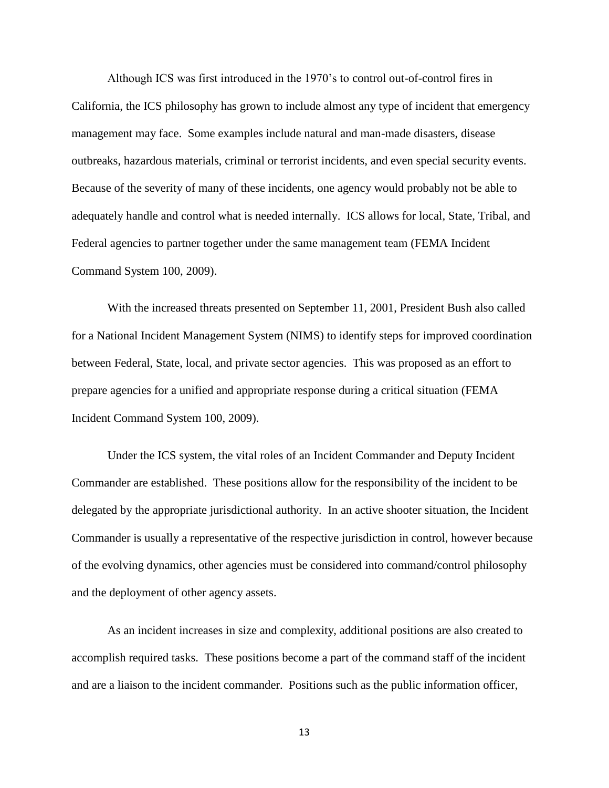Although ICS was first introduced in the 1970's to control out-of-control fires in California, the ICS philosophy has grown to include almost any type of incident that emergency management may face. Some examples include natural and man-made disasters, disease outbreaks, hazardous materials, criminal or terrorist incidents, and even special security events. Because of the severity of many of these incidents, one agency would probably not be able to adequately handle and control what is needed internally. ICS allows for local, State, Tribal, and Federal agencies to partner together under the same management team (FEMA Incident Command System 100, 2009).

With the increased threats presented on September 11, 2001, President Bush also called for a National Incident Management System (NIMS) to identify steps for improved coordination between Federal, State, local, and private sector agencies. This was proposed as an effort to prepare agencies for a unified and appropriate response during a critical situation (FEMA Incident Command System 100, 2009).

Under the ICS system, the vital roles of an Incident Commander and Deputy Incident Commander are established. These positions allow for the responsibility of the incident to be delegated by the appropriate jurisdictional authority. In an active shooter situation, the Incident Commander is usually a representative of the respective jurisdiction in control, however because of the evolving dynamics, other agencies must be considered into command/control philosophy and the deployment of other agency assets.

As an incident increases in size and complexity, additional positions are also created to accomplish required tasks. These positions become a part of the command staff of the incident and are a liaison to the incident commander. Positions such as the public information officer,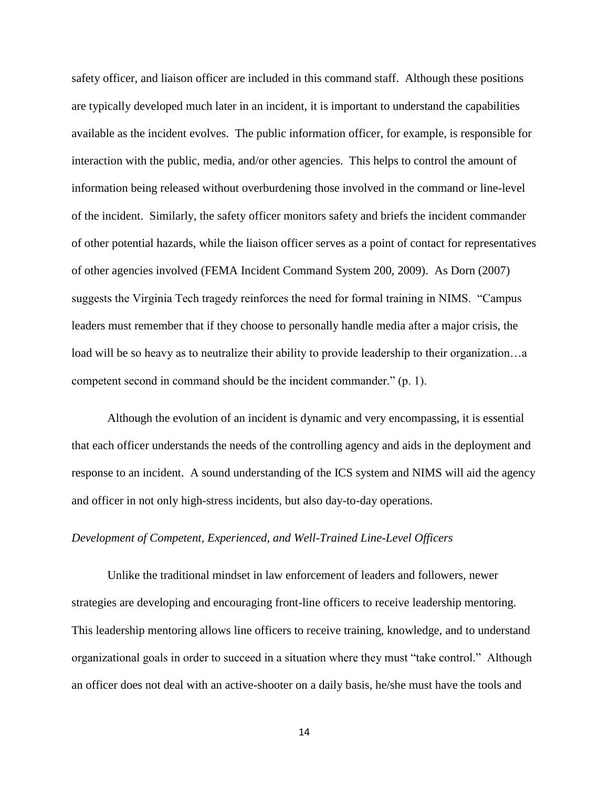safety officer, and liaison officer are included in this command staff. Although these positions are typically developed much later in an incident, it is important to understand the capabilities available as the incident evolves. The public information officer, for example, is responsible for interaction with the public, media, and/or other agencies. This helps to control the amount of information being released without overburdening those involved in the command or line-level of the incident. Similarly, the safety officer monitors safety and briefs the incident commander of other potential hazards, while the liaison officer serves as a point of contact for representatives of other agencies involved (FEMA Incident Command System 200, 2009). As Dorn (2007) suggests the Virginia Tech tragedy reinforces the need for formal training in NIMS. "Campus leaders must remember that if they choose to personally handle media after a major crisis, the load will be so heavy as to neutralize their ability to provide leadership to their organization…a competent second in command should be the incident commander." (p. 1).

Although the evolution of an incident is dynamic and very encompassing, it is essential that each officer understands the needs of the controlling agency and aids in the deployment and response to an incident. A sound understanding of the ICS system and NIMS will aid the agency and officer in not only high-stress incidents, but also day-to-day operations.

## *Development of Competent, Experienced, and Well-Trained Line-Level Officers*

Unlike the traditional mindset in law enforcement of leaders and followers, newer strategies are developing and encouraging front-line officers to receive leadership mentoring. This leadership mentoring allows line officers to receive training, knowledge, and to understand organizational goals in order to succeed in a situation where they must "take control." Although an officer does not deal with an active-shooter on a daily basis, he/she must have the tools and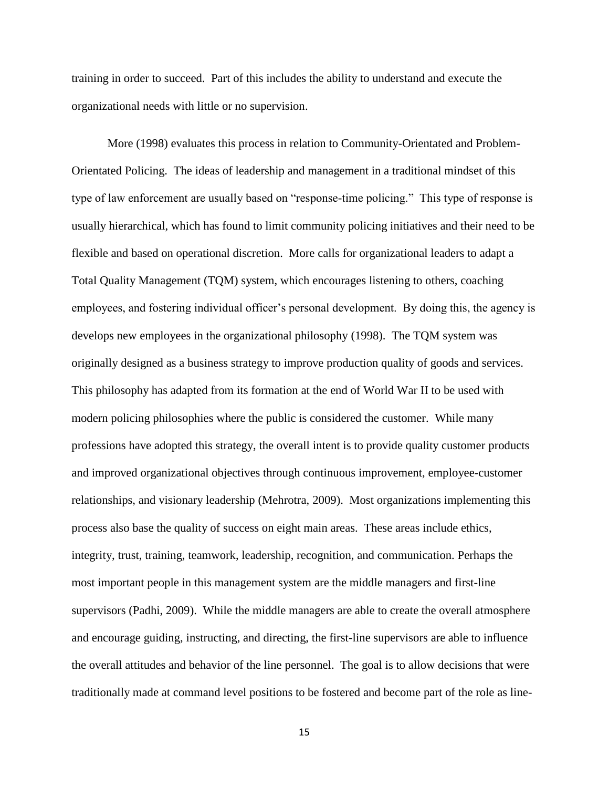training in order to succeed. Part of this includes the ability to understand and execute the organizational needs with little or no supervision.

More (1998) evaluates this process in relation to Community-Orientated and Problem-Orientated Policing. The ideas of leadership and management in a traditional mindset of this type of law enforcement are usually based on "response-time policing." This type of response is usually hierarchical, which has found to limit community policing initiatives and their need to be flexible and based on operational discretion. More calls for organizational leaders to adapt a Total Quality Management (TQM) system, which encourages listening to others, coaching employees, and fostering individual officer's personal development. By doing this, the agency is develops new employees in the organizational philosophy (1998). The TQM system was originally designed as a business strategy to improve production quality of goods and services. This philosophy has adapted from its formation at the end of World War II to be used with modern policing philosophies where the public is considered the customer. While many professions have adopted this strategy, the overall intent is to provide quality customer products and improved organizational objectives through continuous improvement, employee-customer relationships, and visionary leadership (Mehrotra, 2009). Most organizations implementing this process also base the quality of success on eight main areas. These areas include ethics, integrity, trust, training, teamwork, leadership, recognition, and communication. Perhaps the most important people in this management system are the middle managers and first-line supervisors (Padhi, 2009). While the middle managers are able to create the overall atmosphere and encourage guiding, instructing, and directing, the first-line supervisors are able to influence the overall attitudes and behavior of the line personnel. The goal is to allow decisions that were traditionally made at command level positions to be fostered and become part of the role as line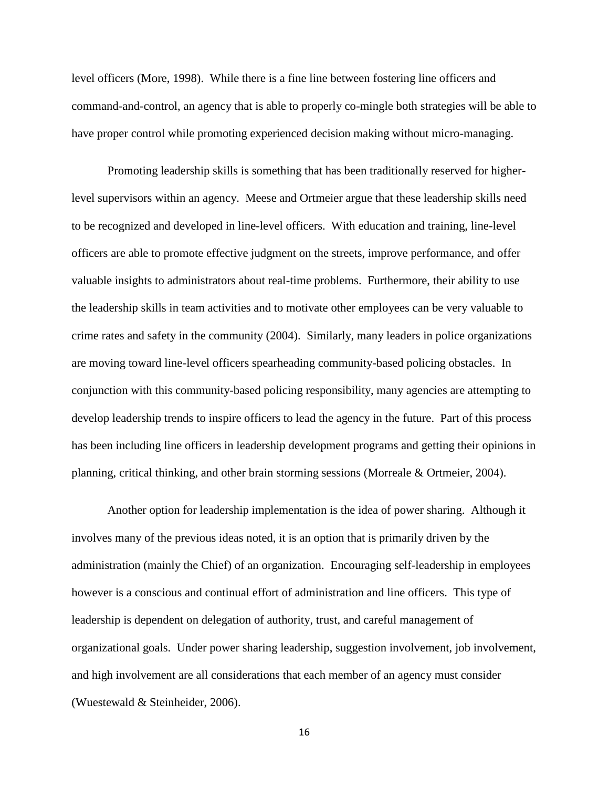level officers (More, 1998). While there is a fine line between fostering line officers and command-and-control, an agency that is able to properly co-mingle both strategies will be able to have proper control while promoting experienced decision making without micro-managing.

Promoting leadership skills is something that has been traditionally reserved for higherlevel supervisors within an agency. Meese and Ortmeier argue that these leadership skills need to be recognized and developed in line-level officers. With education and training, line-level officers are able to promote effective judgment on the streets, improve performance, and offer valuable insights to administrators about real-time problems. Furthermore, their ability to use the leadership skills in team activities and to motivate other employees can be very valuable to crime rates and safety in the community (2004). Similarly, many leaders in police organizations are moving toward line-level officers spearheading community-based policing obstacles. In conjunction with this community-based policing responsibility, many agencies are attempting to develop leadership trends to inspire officers to lead the agency in the future. Part of this process has been including line officers in leadership development programs and getting their opinions in planning, critical thinking, and other brain storming sessions (Morreale & Ortmeier, 2004).

Another option for leadership implementation is the idea of power sharing. Although it involves many of the previous ideas noted, it is an option that is primarily driven by the administration (mainly the Chief) of an organization. Encouraging self-leadership in employees however is a conscious and continual effort of administration and line officers. This type of leadership is dependent on delegation of authority, trust, and careful management of organizational goals. Under power sharing leadership, suggestion involvement, job involvement, and high involvement are all considerations that each member of an agency must consider (Wuestewald & Steinheider, 2006).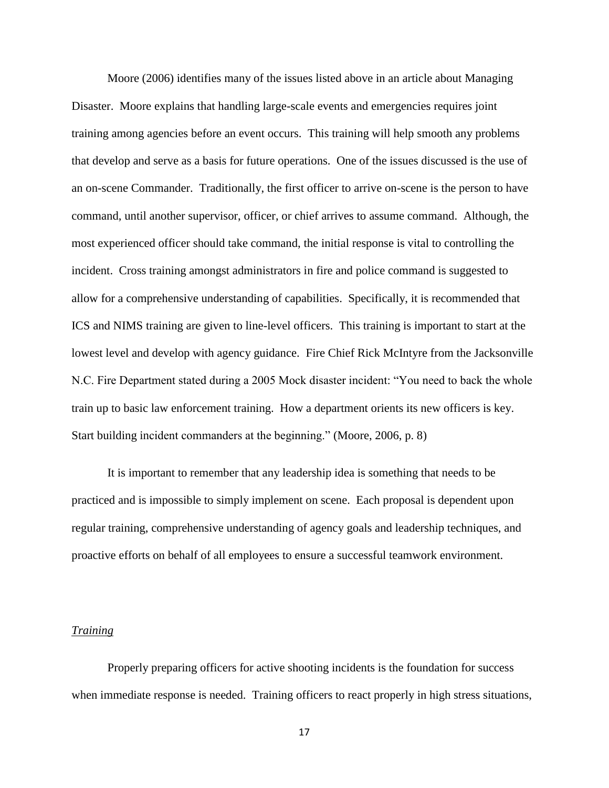Moore (2006) identifies many of the issues listed above in an article about Managing Disaster. Moore explains that handling large-scale events and emergencies requires joint training among agencies before an event occurs. This training will help smooth any problems that develop and serve as a basis for future operations. One of the issues discussed is the use of an on-scene Commander. Traditionally, the first officer to arrive on-scene is the person to have command, until another supervisor, officer, or chief arrives to assume command. Although, the most experienced officer should take command, the initial response is vital to controlling the incident. Cross training amongst administrators in fire and police command is suggested to allow for a comprehensive understanding of capabilities. Specifically, it is recommended that ICS and NIMS training are given to line-level officers. This training is important to start at the lowest level and develop with agency guidance. Fire Chief Rick McIntyre from the Jacksonville N.C. Fire Department stated during a 2005 Mock disaster incident: "You need to back the whole train up to basic law enforcement training. How a department orients its new officers is key. Start building incident commanders at the beginning." (Moore, 2006, p. 8)

It is important to remember that any leadership idea is something that needs to be practiced and is impossible to simply implement on scene. Each proposal is dependent upon regular training, comprehensive understanding of agency goals and leadership techniques, and proactive efforts on behalf of all employees to ensure a successful teamwork environment.

## *Training*

Properly preparing officers for active shooting incidents is the foundation for success when immediate response is needed. Training officers to react properly in high stress situations,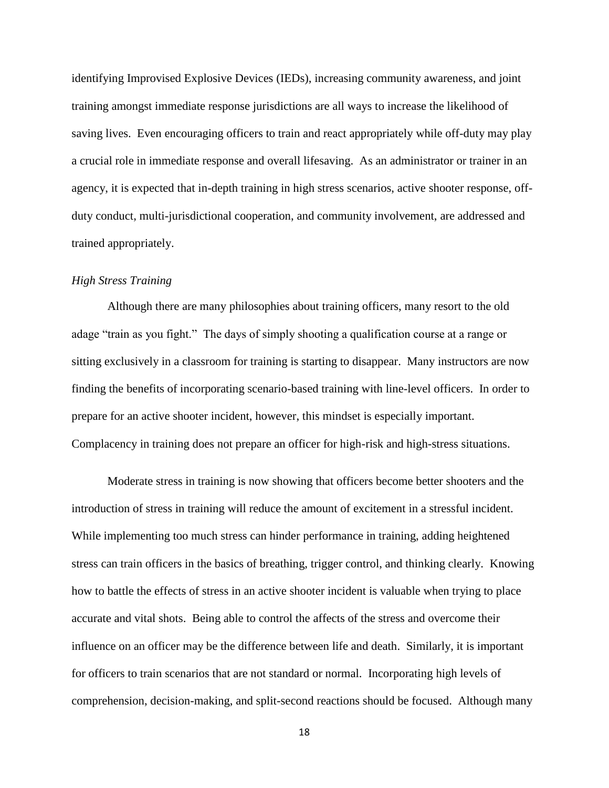identifying Improvised Explosive Devices (IEDs), increasing community awareness, and joint training amongst immediate response jurisdictions are all ways to increase the likelihood of saving lives. Even encouraging officers to train and react appropriately while off-duty may play a crucial role in immediate response and overall lifesaving. As an administrator or trainer in an agency, it is expected that in-depth training in high stress scenarios, active shooter response, offduty conduct, multi-jurisdictional cooperation, and community involvement, are addressed and trained appropriately.

## *High Stress Training*

Although there are many philosophies about training officers, many resort to the old adage "train as you fight." The days of simply shooting a qualification course at a range or sitting exclusively in a classroom for training is starting to disappear. Many instructors are now finding the benefits of incorporating scenario-based training with line-level officers. In order to prepare for an active shooter incident, however, this mindset is especially important. Complacency in training does not prepare an officer for high-risk and high-stress situations.

Moderate stress in training is now showing that officers become better shooters and the introduction of stress in training will reduce the amount of excitement in a stressful incident. While implementing too much stress can hinder performance in training, adding heightened stress can train officers in the basics of breathing, trigger control, and thinking clearly. Knowing how to battle the effects of stress in an active shooter incident is valuable when trying to place accurate and vital shots. Being able to control the affects of the stress and overcome their influence on an officer may be the difference between life and death. Similarly, it is important for officers to train scenarios that are not standard or normal. Incorporating high levels of comprehension, decision-making, and split-second reactions should be focused. Although many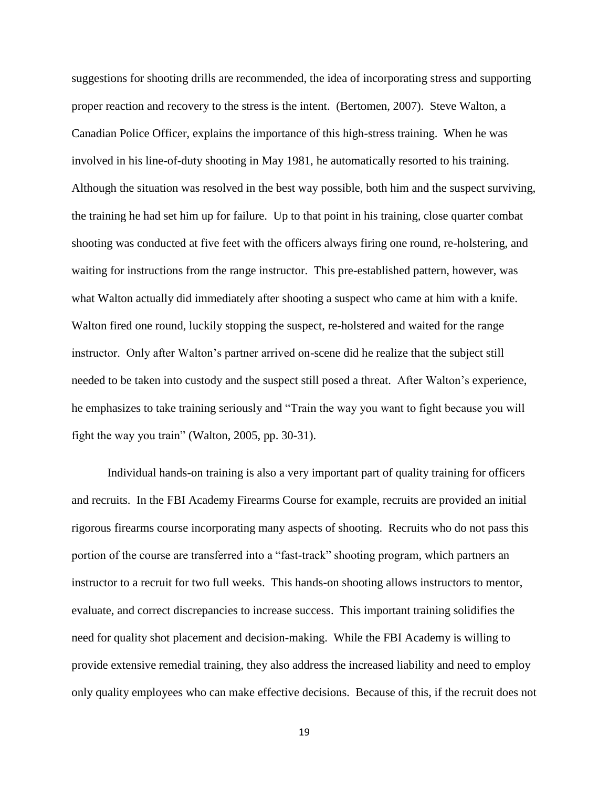suggestions for shooting drills are recommended, the idea of incorporating stress and supporting proper reaction and recovery to the stress is the intent. (Bertomen, 2007). Steve Walton, a Canadian Police Officer, explains the importance of this high-stress training. When he was involved in his line-of-duty shooting in May 1981, he automatically resorted to his training. Although the situation was resolved in the best way possible, both him and the suspect surviving, the training he had set him up for failure. Up to that point in his training, close quarter combat shooting was conducted at five feet with the officers always firing one round, re-holstering, and waiting for instructions from the range instructor. This pre-established pattern, however, was what Walton actually did immediately after shooting a suspect who came at him with a knife. Walton fired one round, luckily stopping the suspect, re-holstered and waited for the range instructor. Only after Walton's partner arrived on-scene did he realize that the subject still needed to be taken into custody and the suspect still posed a threat. After Walton's experience, he emphasizes to take training seriously and "Train the way you want to fight because you will fight the way you train" (Walton, 2005, pp. 30-31).

Individual hands-on training is also a very important part of quality training for officers and recruits. In the FBI Academy Firearms Course for example, recruits are provided an initial rigorous firearms course incorporating many aspects of shooting. Recruits who do not pass this portion of the course are transferred into a "fast-track" shooting program, which partners an instructor to a recruit for two full weeks. This hands-on shooting allows instructors to mentor, evaluate, and correct discrepancies to increase success. This important training solidifies the need for quality shot placement and decision-making. While the FBI Academy is willing to provide extensive remedial training, they also address the increased liability and need to employ only quality employees who can make effective decisions. Because of this, if the recruit does not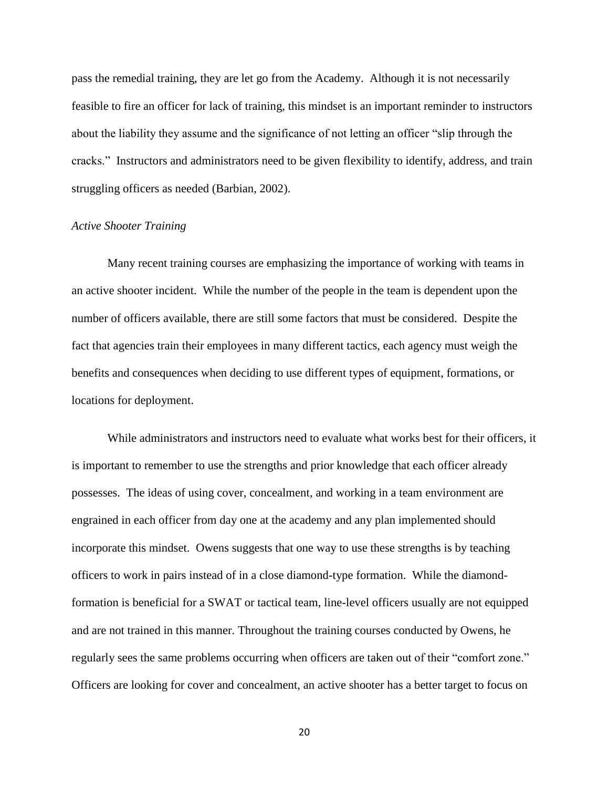pass the remedial training, they are let go from the Academy. Although it is not necessarily feasible to fire an officer for lack of training, this mindset is an important reminder to instructors about the liability they assume and the significance of not letting an officer "slip through the cracks." Instructors and administrators need to be given flexibility to identify, address, and train struggling officers as needed (Barbian, 2002).

#### *Active Shooter Training*

Many recent training courses are emphasizing the importance of working with teams in an active shooter incident. While the number of the people in the team is dependent upon the number of officers available, there are still some factors that must be considered. Despite the fact that agencies train their employees in many different tactics, each agency must weigh the benefits and consequences when deciding to use different types of equipment, formations, or locations for deployment.

While administrators and instructors need to evaluate what works best for their officers, it is important to remember to use the strengths and prior knowledge that each officer already possesses. The ideas of using cover, concealment, and working in a team environment are engrained in each officer from day one at the academy and any plan implemented should incorporate this mindset. Owens suggests that one way to use these strengths is by teaching officers to work in pairs instead of in a close diamond-type formation. While the diamondformation is beneficial for a SWAT or tactical team, line-level officers usually are not equipped and are not trained in this manner. Throughout the training courses conducted by Owens, he regularly sees the same problems occurring when officers are taken out of their "comfort zone." Officers are looking for cover and concealment, an active shooter has a better target to focus on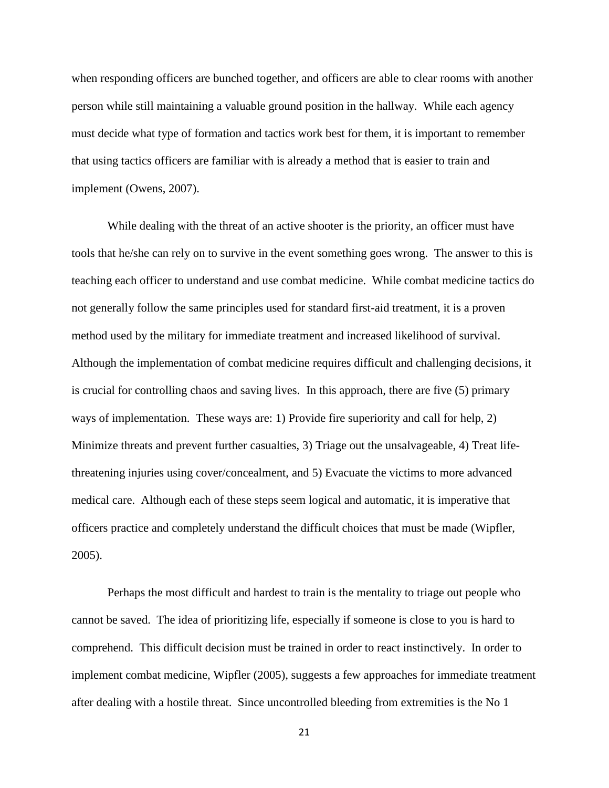when responding officers are bunched together, and officers are able to clear rooms with another person while still maintaining a valuable ground position in the hallway. While each agency must decide what type of formation and tactics work best for them, it is important to remember that using tactics officers are familiar with is already a method that is easier to train and implement (Owens, 2007).

While dealing with the threat of an active shooter is the priority, an officer must have tools that he/she can rely on to survive in the event something goes wrong. The answer to this is teaching each officer to understand and use combat medicine. While combat medicine tactics do not generally follow the same principles used for standard first-aid treatment, it is a proven method used by the military for immediate treatment and increased likelihood of survival. Although the implementation of combat medicine requires difficult and challenging decisions, it is crucial for controlling chaos and saving lives. In this approach, there are five (5) primary ways of implementation. These ways are: 1) Provide fire superiority and call for help, 2) Minimize threats and prevent further casualties, 3) Triage out the unsalvageable, 4) Treat lifethreatening injuries using cover/concealment, and 5) Evacuate the victims to more advanced medical care. Although each of these steps seem logical and automatic, it is imperative that officers practice and completely understand the difficult choices that must be made (Wipfler, 2005).

Perhaps the most difficult and hardest to train is the mentality to triage out people who cannot be saved. The idea of prioritizing life, especially if someone is close to you is hard to comprehend. This difficult decision must be trained in order to react instinctively. In order to implement combat medicine, Wipfler (2005), suggests a few approaches for immediate treatment after dealing with a hostile threat. Since uncontrolled bleeding from extremities is the No 1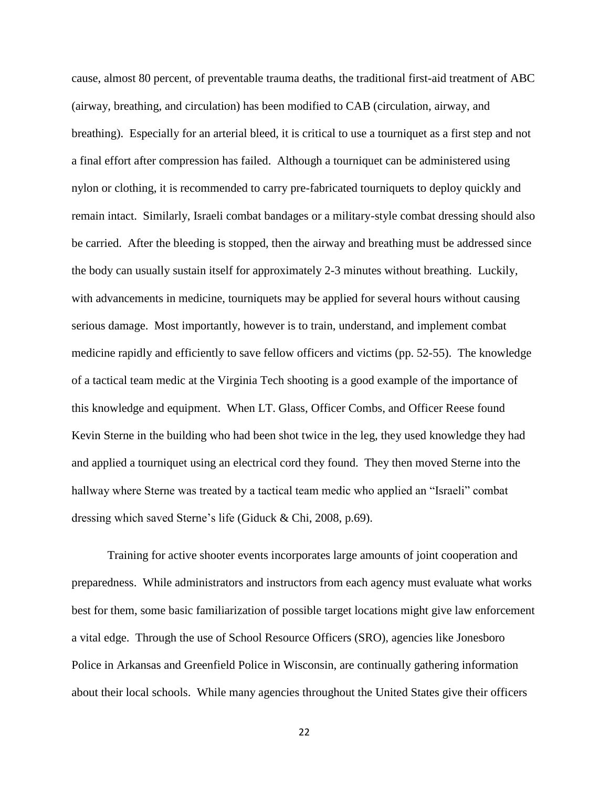cause, almost 80 percent, of preventable trauma deaths, the traditional first-aid treatment of ABC (airway, breathing, and circulation) has been modified to CAB (circulation, airway, and breathing). Especially for an arterial bleed, it is critical to use a tourniquet as a first step and not a final effort after compression has failed. Although a tourniquet can be administered using nylon or clothing, it is recommended to carry pre-fabricated tourniquets to deploy quickly and remain intact. Similarly, Israeli combat bandages or a military-style combat dressing should also be carried. After the bleeding is stopped, then the airway and breathing must be addressed since the body can usually sustain itself for approximately 2-3 minutes without breathing. Luckily, with advancements in medicine, tourniquets may be applied for several hours without causing serious damage. Most importantly, however is to train, understand, and implement combat medicine rapidly and efficiently to save fellow officers and victims (pp. 52-55). The knowledge of a tactical team medic at the Virginia Tech shooting is a good example of the importance of this knowledge and equipment. When LT. Glass, Officer Combs, and Officer Reese found Kevin Sterne in the building who had been shot twice in the leg, they used knowledge they had and applied a tourniquet using an electrical cord they found. They then moved Sterne into the hallway where Sterne was treated by a tactical team medic who applied an "Israeli" combat dressing which saved Sterne's life (Giduck & Chi, 2008, p.69).

Training for active shooter events incorporates large amounts of joint cooperation and preparedness. While administrators and instructors from each agency must evaluate what works best for them, some basic familiarization of possible target locations might give law enforcement a vital edge. Through the use of School Resource Officers (SRO), agencies like Jonesboro Police in Arkansas and Greenfield Police in Wisconsin, are continually gathering information about their local schools. While many agencies throughout the United States give their officers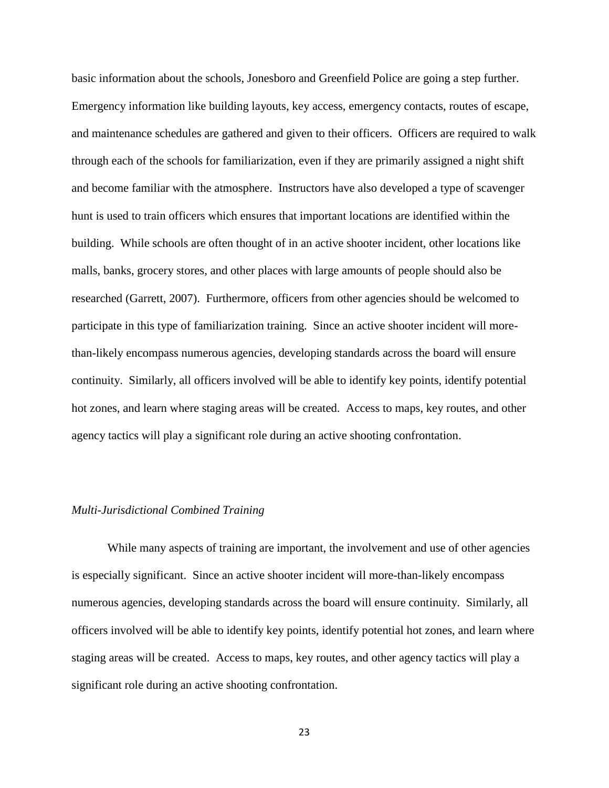basic information about the schools, Jonesboro and Greenfield Police are going a step further. Emergency information like building layouts, key access, emergency contacts, routes of escape, and maintenance schedules are gathered and given to their officers. Officers are required to walk through each of the schools for familiarization, even if they are primarily assigned a night shift and become familiar with the atmosphere. Instructors have also developed a type of scavenger hunt is used to train officers which ensures that important locations are identified within the building. While schools are often thought of in an active shooter incident, other locations like malls, banks, grocery stores, and other places with large amounts of people should also be researched (Garrett, 2007). Furthermore, officers from other agencies should be welcomed to participate in this type of familiarization training. Since an active shooter incident will morethan-likely encompass numerous agencies, developing standards across the board will ensure continuity. Similarly, all officers involved will be able to identify key points, identify potential hot zones, and learn where staging areas will be created. Access to maps, key routes, and other agency tactics will play a significant role during an active shooting confrontation.

## *Multi-Jurisdictional Combined Training*

While many aspects of training are important, the involvement and use of other agencies is especially significant. Since an active shooter incident will more-than-likely encompass numerous agencies, developing standards across the board will ensure continuity. Similarly, all officers involved will be able to identify key points, identify potential hot zones, and learn where staging areas will be created. Access to maps, key routes, and other agency tactics will play a significant role during an active shooting confrontation.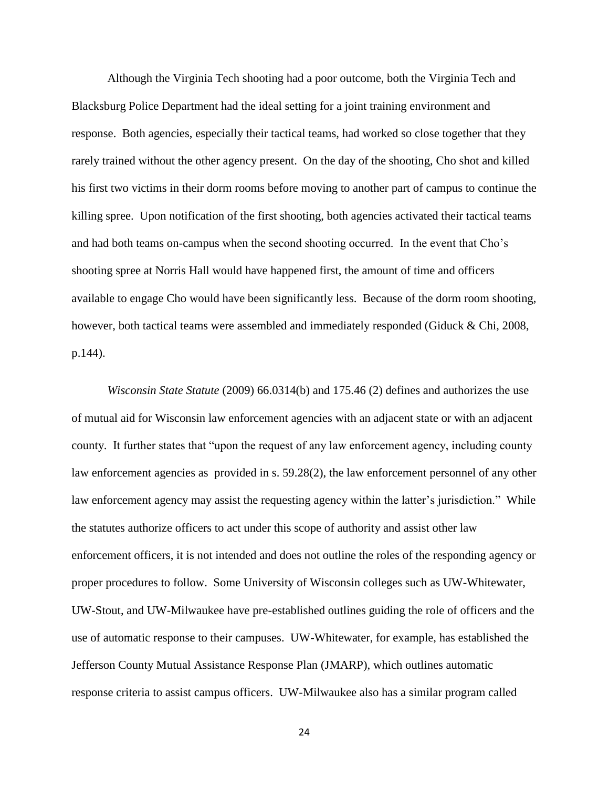Although the Virginia Tech shooting had a poor outcome, both the Virginia Tech and Blacksburg Police Department had the ideal setting for a joint training environment and response. Both agencies, especially their tactical teams, had worked so close together that they rarely trained without the other agency present. On the day of the shooting, Cho shot and killed his first two victims in their dorm rooms before moving to another part of campus to continue the killing spree. Upon notification of the first shooting, both agencies activated their tactical teams and had both teams on-campus when the second shooting occurred. In the event that Cho's shooting spree at Norris Hall would have happened first, the amount of time and officers available to engage Cho would have been significantly less. Because of the dorm room shooting, however, both tactical teams were assembled and immediately responded (Giduck & Chi, 2008, p.144).

*Wisconsin State Statute* (2009) 66.0314(b) and 175.46 (2) defines and authorizes the use of mutual aid for Wisconsin law enforcement agencies with an adjacent state or with an adjacent county. It further states that "upon the request of any law enforcement agency, including county law enforcement agencies as provided in s. 59.28(2), the law enforcement personnel of any other law enforcement agency may assist the requesting agency within the latter's jurisdiction." While the statutes authorize officers to act under this scope of authority and assist other law enforcement officers, it is not intended and does not outline the roles of the responding agency or proper procedures to follow. Some University of Wisconsin colleges such as UW-Whitewater, UW-Stout, and UW-Milwaukee have pre-established outlines guiding the role of officers and the use of automatic response to their campuses. UW-Whitewater, for example, has established the Jefferson County Mutual Assistance Response Plan (JMARP), which outlines automatic response criteria to assist campus officers. UW-Milwaukee also has a similar program called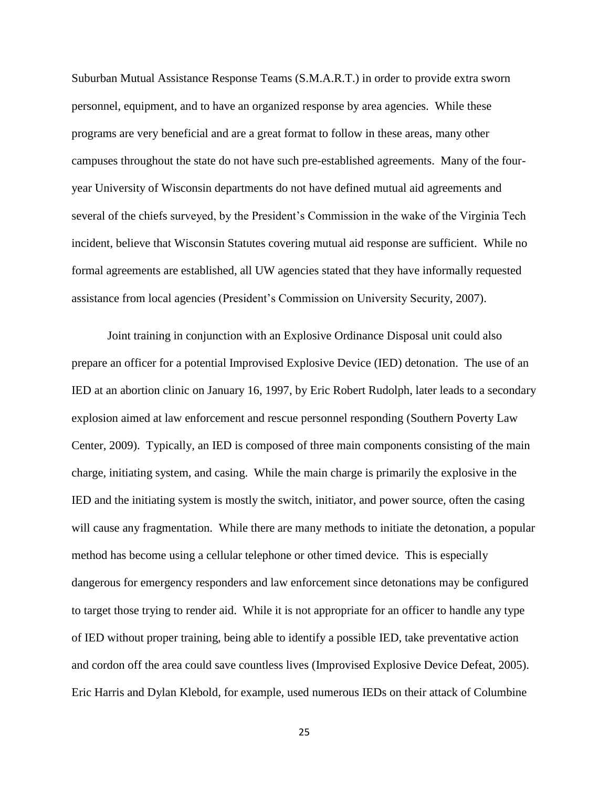Suburban Mutual Assistance Response Teams (S.M.A.R.T.) in order to provide extra sworn personnel, equipment, and to have an organized response by area agencies. While these programs are very beneficial and are a great format to follow in these areas, many other campuses throughout the state do not have such pre-established agreements. Many of the fouryear University of Wisconsin departments do not have defined mutual aid agreements and several of the chiefs surveyed, by the President's Commission in the wake of the Virginia Tech incident, believe that Wisconsin Statutes covering mutual aid response are sufficient. While no formal agreements are established, all UW agencies stated that they have informally requested assistance from local agencies (President's Commission on University Security, 2007).

Joint training in conjunction with an Explosive Ordinance Disposal unit could also prepare an officer for a potential Improvised Explosive Device (IED) detonation. The use of an IED at an abortion clinic on January 16, 1997, by Eric Robert Rudolph, later leads to a secondary explosion aimed at law enforcement and rescue personnel responding (Southern Poverty Law Center, 2009). Typically, an IED is composed of three main components consisting of the main charge, initiating system, and casing. While the main charge is primarily the explosive in the IED and the initiating system is mostly the switch, initiator, and power source, often the casing will cause any fragmentation. While there are many methods to initiate the detonation, a popular method has become using a cellular telephone or other timed device. This is especially dangerous for emergency responders and law enforcement since detonations may be configured to target those trying to render aid. While it is not appropriate for an officer to handle any type of IED without proper training, being able to identify a possible IED, take preventative action and cordon off the area could save countless lives (Improvised Explosive Device Defeat, 2005). Eric Harris and Dylan Klebold, for example, used numerous IEDs on their attack of Columbine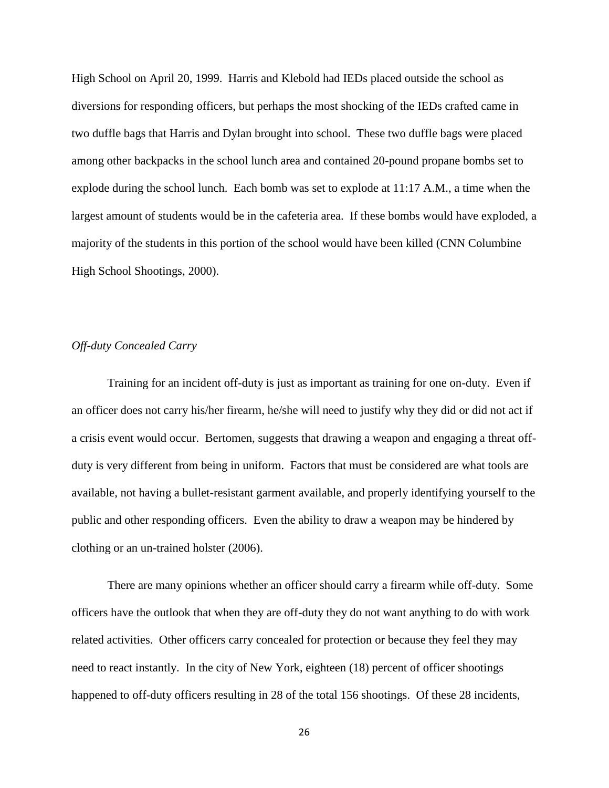High School on April 20, 1999. Harris and Klebold had IEDs placed outside the school as diversions for responding officers, but perhaps the most shocking of the IEDs crafted came in two duffle bags that Harris and Dylan brought into school. These two duffle bags were placed among other backpacks in the school lunch area and contained 20-pound propane bombs set to explode during the school lunch. Each bomb was set to explode at 11:17 A.M., a time when the largest amount of students would be in the cafeteria area. If these bombs would have exploded, a majority of the students in this portion of the school would have been killed (CNN Columbine High School Shootings, 2000).

## *Off-duty Concealed Carry*

Training for an incident off-duty is just as important as training for one on-duty. Even if an officer does not carry his/her firearm, he/she will need to justify why they did or did not act if a crisis event would occur. Bertomen, suggests that drawing a weapon and engaging a threat offduty is very different from being in uniform. Factors that must be considered are what tools are available, not having a bullet-resistant garment available, and properly identifying yourself to the public and other responding officers. Even the ability to draw a weapon may be hindered by clothing or an un-trained holster (2006).

There are many opinions whether an officer should carry a firearm while off-duty. Some officers have the outlook that when they are off-duty they do not want anything to do with work related activities. Other officers carry concealed for protection or because they feel they may need to react instantly. In the city of New York, eighteen (18) percent of officer shootings happened to off-duty officers resulting in 28 of the total 156 shootings. Of these 28 incidents,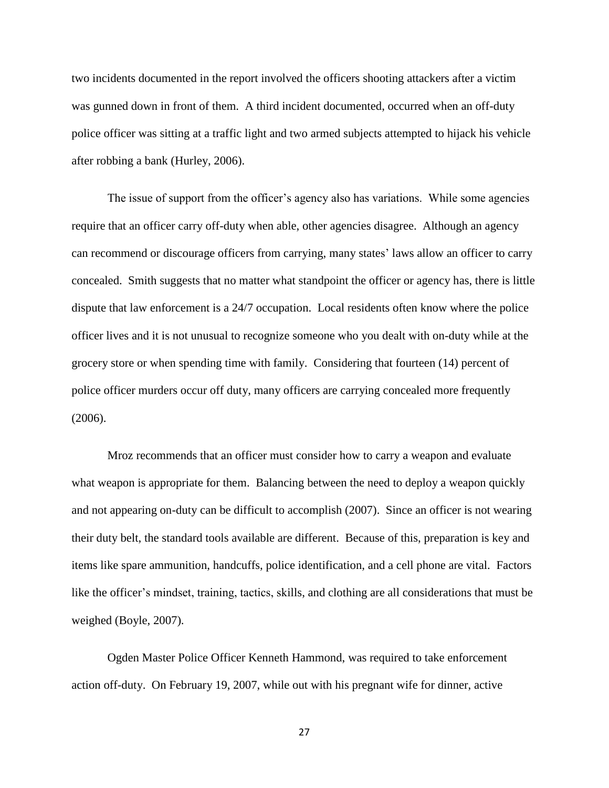two incidents documented in the report involved the officers shooting attackers after a victim was gunned down in front of them. A third incident documented, occurred when an off-duty police officer was sitting at a traffic light and two armed subjects attempted to hijack his vehicle after robbing a bank (Hurley, 2006).

The issue of support from the officer's agency also has variations. While some agencies require that an officer carry off-duty when able, other agencies disagree. Although an agency can recommend or discourage officers from carrying, many states' laws allow an officer to carry concealed. Smith suggests that no matter what standpoint the officer or agency has, there is little dispute that law enforcement is a 24/7 occupation. Local residents often know where the police officer lives and it is not unusual to recognize someone who you dealt with on-duty while at the grocery store or when spending time with family. Considering that fourteen (14) percent of police officer murders occur off duty, many officers are carrying concealed more frequently (2006).

Mroz recommends that an officer must consider how to carry a weapon and evaluate what weapon is appropriate for them. Balancing between the need to deploy a weapon quickly and not appearing on-duty can be difficult to accomplish (2007). Since an officer is not wearing their duty belt, the standard tools available are different. Because of this, preparation is key and items like spare ammunition, handcuffs, police identification, and a cell phone are vital. Factors like the officer's mindset, training, tactics, skills, and clothing are all considerations that must be weighed (Boyle, 2007).

Ogden Master Police Officer Kenneth Hammond, was required to take enforcement action off-duty. On February 19, 2007, while out with his pregnant wife for dinner, active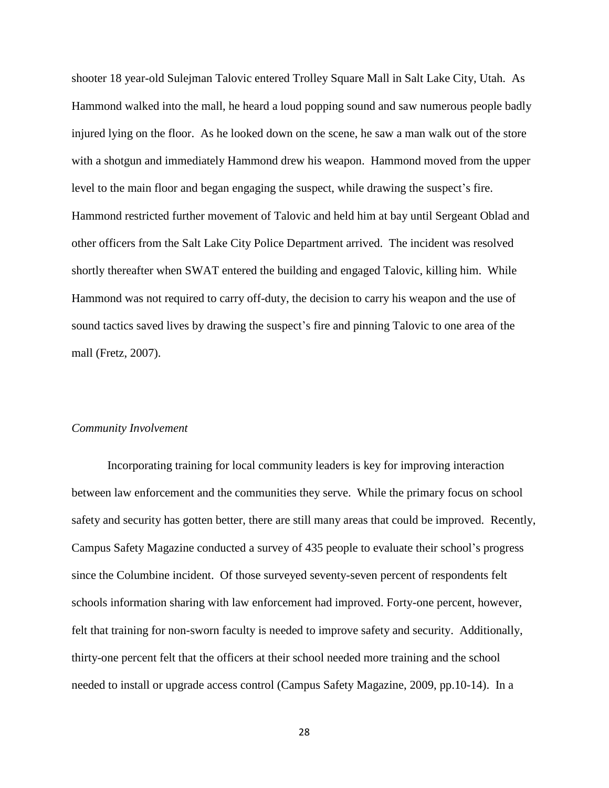shooter 18 year-old Sulejman Talovic entered Trolley Square Mall in Salt Lake City, Utah. As Hammond walked into the mall, he heard a loud popping sound and saw numerous people badly injured lying on the floor. As he looked down on the scene, he saw a man walk out of the store with a shotgun and immediately Hammond drew his weapon. Hammond moved from the upper level to the main floor and began engaging the suspect, while drawing the suspect's fire. Hammond restricted further movement of Talovic and held him at bay until Sergeant Oblad and other officers from the Salt Lake City Police Department arrived. The incident was resolved shortly thereafter when SWAT entered the building and engaged Talovic, killing him. While Hammond was not required to carry off-duty, the decision to carry his weapon and the use of sound tactics saved lives by drawing the suspect's fire and pinning Talovic to one area of the mall (Fretz, 2007).

#### *Community Involvement*

Incorporating training for local community leaders is key for improving interaction between law enforcement and the communities they serve. While the primary focus on school safety and security has gotten better, there are still many areas that could be improved. Recently, Campus Safety Magazine conducted a survey of 435 people to evaluate their school's progress since the Columbine incident. Of those surveyed seventy-seven percent of respondents felt schools information sharing with law enforcement had improved. Forty-one percent, however, felt that training for non-sworn faculty is needed to improve safety and security. Additionally, thirty-one percent felt that the officers at their school needed more training and the school needed to install or upgrade access control (Campus Safety Magazine, 2009, pp.10-14). In a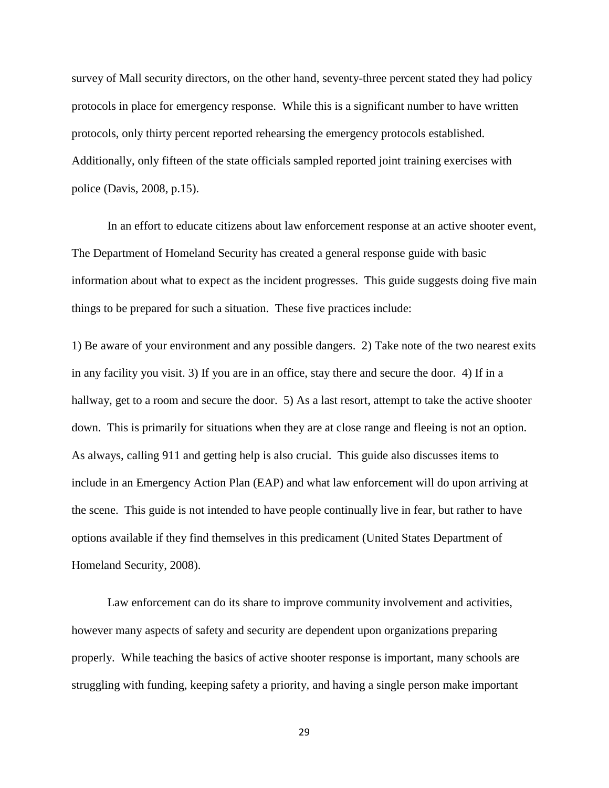survey of Mall security directors, on the other hand, seventy-three percent stated they had policy protocols in place for emergency response. While this is a significant number to have written protocols, only thirty percent reported rehearsing the emergency protocols established. Additionally, only fifteen of the state officials sampled reported joint training exercises with police (Davis, 2008, p.15).

In an effort to educate citizens about law enforcement response at an active shooter event, The Department of Homeland Security has created a general response guide with basic information about what to expect as the incident progresses. This guide suggests doing five main things to be prepared for such a situation. These five practices include:

1) Be aware of your environment and any possible dangers. 2) Take note of the two nearest exits in any facility you visit. 3) If you are in an office, stay there and secure the door. 4) If in a hallway, get to a room and secure the door. 5) As a last resort, attempt to take the active shooter down. This is primarily for situations when they are at close range and fleeing is not an option. As always, calling 911 and getting help is also crucial. This guide also discusses items to include in an Emergency Action Plan (EAP) and what law enforcement will do upon arriving at the scene. This guide is not intended to have people continually live in fear, but rather to have options available if they find themselves in this predicament (United States Department of Homeland Security, 2008).

Law enforcement can do its share to improve community involvement and activities, however many aspects of safety and security are dependent upon organizations preparing properly. While teaching the basics of active shooter response is important, many schools are struggling with funding, keeping safety a priority, and having a single person make important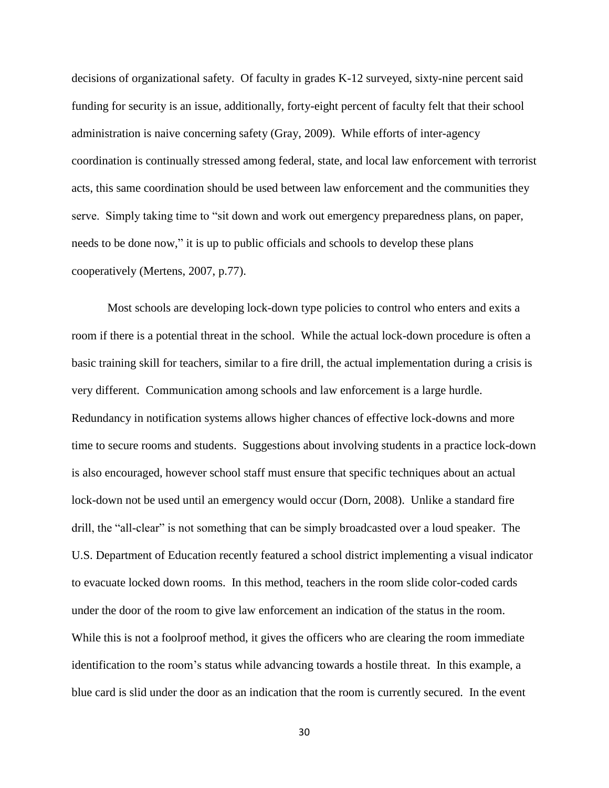decisions of organizational safety. Of faculty in grades K-12 surveyed, sixty-nine percent said funding for security is an issue, additionally, forty-eight percent of faculty felt that their school administration is naive concerning safety (Gray, 2009). While efforts of inter-agency coordination is continually stressed among federal, state, and local law enforcement with terrorist acts, this same coordination should be used between law enforcement and the communities they serve. Simply taking time to "sit down and work out emergency preparedness plans, on paper, needs to be done now," it is up to public officials and schools to develop these plans cooperatively (Mertens, 2007, p.77).

Most schools are developing lock-down type policies to control who enters and exits a room if there is a potential threat in the school. While the actual lock-down procedure is often a basic training skill for teachers, similar to a fire drill, the actual implementation during a crisis is very different. Communication among schools and law enforcement is a large hurdle. Redundancy in notification systems allows higher chances of effective lock-downs and more time to secure rooms and students. Suggestions about involving students in a practice lock-down is also encouraged, however school staff must ensure that specific techniques about an actual lock-down not be used until an emergency would occur (Dorn, 2008). Unlike a standard fire drill, the "all-clear" is not something that can be simply broadcasted over a loud speaker. The U.S. Department of Education recently featured a school district implementing a visual indicator to evacuate locked down rooms. In this method, teachers in the room slide color-coded cards under the door of the room to give law enforcement an indication of the status in the room. While this is not a foolproof method, it gives the officers who are clearing the room immediate identification to the room's status while advancing towards a hostile threat. In this example, a blue card is slid under the door as an indication that the room is currently secured. In the event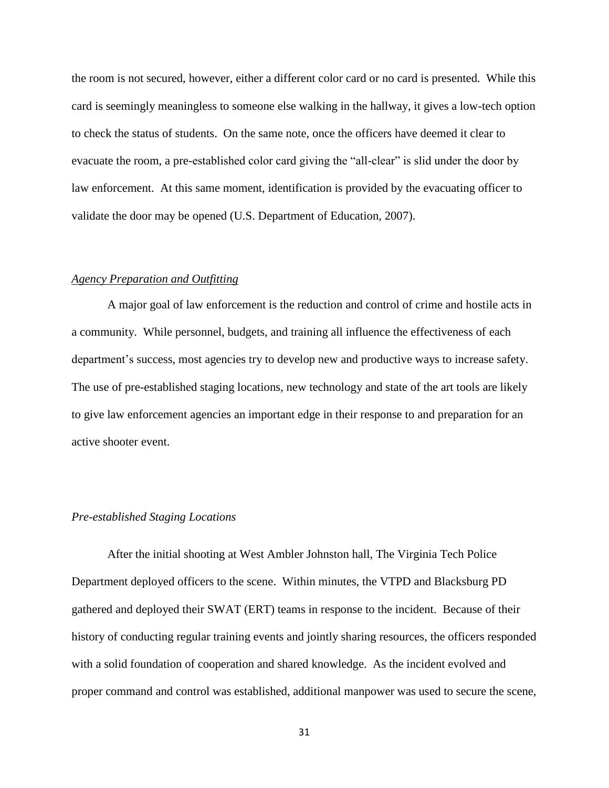the room is not secured, however, either a different color card or no card is presented. While this card is seemingly meaningless to someone else walking in the hallway, it gives a low-tech option to check the status of students. On the same note, once the officers have deemed it clear to evacuate the room, a pre-established color card giving the "all-clear" is slid under the door by law enforcement. At this same moment, identification is provided by the evacuating officer to validate the door may be opened (U.S. Department of Education, 2007).

## *Agency Preparation and Outfitting*

A major goal of law enforcement is the reduction and control of crime and hostile acts in a community. While personnel, budgets, and training all influence the effectiveness of each department's success, most agencies try to develop new and productive ways to increase safety. The use of pre-established staging locations, new technology and state of the art tools are likely to give law enforcement agencies an important edge in their response to and preparation for an active shooter event.

#### *Pre-established Staging Locations*

After the initial shooting at West Ambler Johnston hall, The Virginia Tech Police Department deployed officers to the scene. Within minutes, the VTPD and Blacksburg PD gathered and deployed their SWAT (ERT) teams in response to the incident. Because of their history of conducting regular training events and jointly sharing resources, the officers responded with a solid foundation of cooperation and shared knowledge. As the incident evolved and proper command and control was established, additional manpower was used to secure the scene,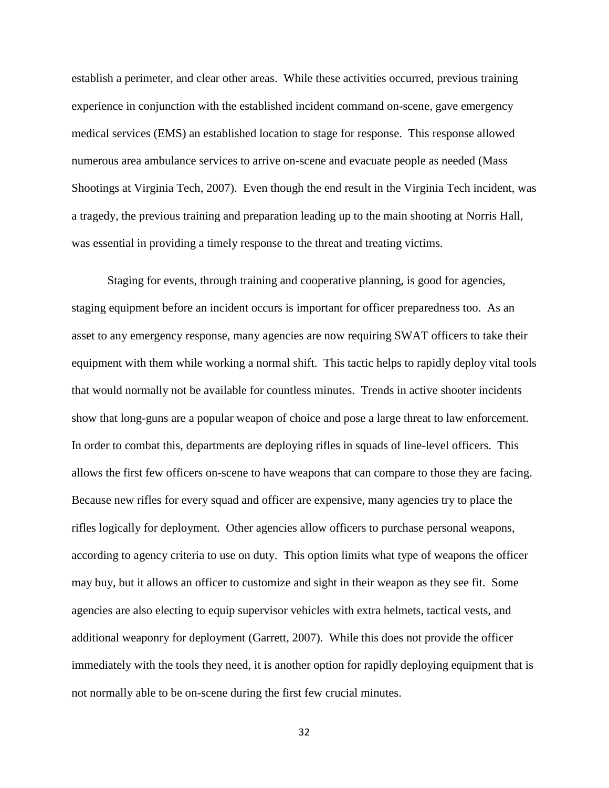establish a perimeter, and clear other areas. While these activities occurred, previous training experience in conjunction with the established incident command on-scene, gave emergency medical services (EMS) an established location to stage for response. This response allowed numerous area ambulance services to arrive on-scene and evacuate people as needed (Mass Shootings at Virginia Tech, 2007). Even though the end result in the Virginia Tech incident, was a tragedy, the previous training and preparation leading up to the main shooting at Norris Hall, was essential in providing a timely response to the threat and treating victims.

Staging for events, through training and cooperative planning, is good for agencies, staging equipment before an incident occurs is important for officer preparedness too. As an asset to any emergency response, many agencies are now requiring SWAT officers to take their equipment with them while working a normal shift. This tactic helps to rapidly deploy vital tools that would normally not be available for countless minutes. Trends in active shooter incidents show that long-guns are a popular weapon of choice and pose a large threat to law enforcement. In order to combat this, departments are deploying rifles in squads of line-level officers. This allows the first few officers on-scene to have weapons that can compare to those they are facing. Because new rifles for every squad and officer are expensive, many agencies try to place the rifles logically for deployment. Other agencies allow officers to purchase personal weapons, according to agency criteria to use on duty. This option limits what type of weapons the officer may buy, but it allows an officer to customize and sight in their weapon as they see fit. Some agencies are also electing to equip supervisor vehicles with extra helmets, tactical vests, and additional weaponry for deployment (Garrett, 2007). While this does not provide the officer immediately with the tools they need, it is another option for rapidly deploying equipment that is not normally able to be on-scene during the first few crucial minutes.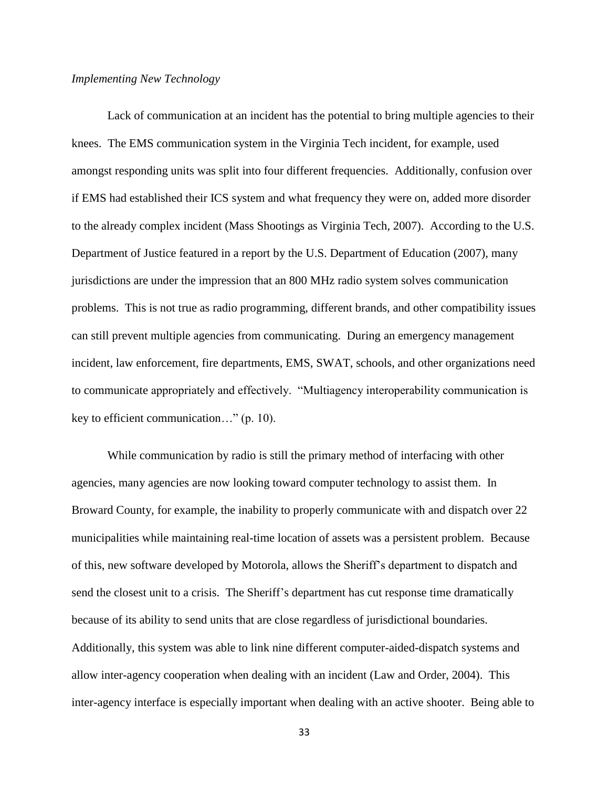#### *Implementing New Technology*

Lack of communication at an incident has the potential to bring multiple agencies to their knees. The EMS communication system in the Virginia Tech incident, for example, used amongst responding units was split into four different frequencies. Additionally, confusion over if EMS had established their ICS system and what frequency they were on, added more disorder to the already complex incident (Mass Shootings as Virginia Tech, 2007). According to the U.S. Department of Justice featured in a report by the U.S. Department of Education (2007), many jurisdictions are under the impression that an 800 MHz radio system solves communication problems. This is not true as radio programming, different brands, and other compatibility issues can still prevent multiple agencies from communicating. During an emergency management incident, law enforcement, fire departments, EMS, SWAT, schools, and other organizations need to communicate appropriately and effectively. "Multiagency interoperability communication is key to efficient communication…" (p. 10).

While communication by radio is still the primary method of interfacing with other agencies, many agencies are now looking toward computer technology to assist them. In Broward County, for example, the inability to properly communicate with and dispatch over 22 municipalities while maintaining real-time location of assets was a persistent problem. Because of this, new software developed by Motorola, allows the Sheriff's department to dispatch and send the closest unit to a crisis. The Sheriff's department has cut response time dramatically because of its ability to send units that are close regardless of jurisdictional boundaries. Additionally, this system was able to link nine different computer-aided-dispatch systems and allow inter-agency cooperation when dealing with an incident (Law and Order, 2004). This inter-agency interface is especially important when dealing with an active shooter. Being able to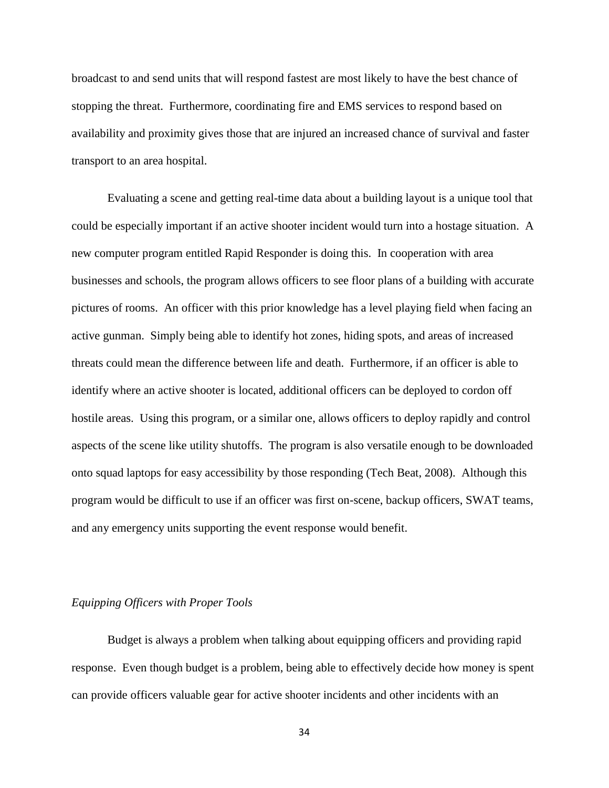broadcast to and send units that will respond fastest are most likely to have the best chance of stopping the threat. Furthermore, coordinating fire and EMS services to respond based on availability and proximity gives those that are injured an increased chance of survival and faster transport to an area hospital.

Evaluating a scene and getting real-time data about a building layout is a unique tool that could be especially important if an active shooter incident would turn into a hostage situation. A new computer program entitled Rapid Responder is doing this. In cooperation with area businesses and schools, the program allows officers to see floor plans of a building with accurate pictures of rooms. An officer with this prior knowledge has a level playing field when facing an active gunman. Simply being able to identify hot zones, hiding spots, and areas of increased threats could mean the difference between life and death. Furthermore, if an officer is able to identify where an active shooter is located, additional officers can be deployed to cordon off hostile areas. Using this program, or a similar one, allows officers to deploy rapidly and control aspects of the scene like utility shutoffs. The program is also versatile enough to be downloaded onto squad laptops for easy accessibility by those responding (Tech Beat, 2008). Although this program would be difficult to use if an officer was first on-scene, backup officers, SWAT teams, and any emergency units supporting the event response would benefit.

## *Equipping Officers with Proper Tools*

Budget is always a problem when talking about equipping officers and providing rapid response. Even though budget is a problem, being able to effectively decide how money is spent can provide officers valuable gear for active shooter incidents and other incidents with an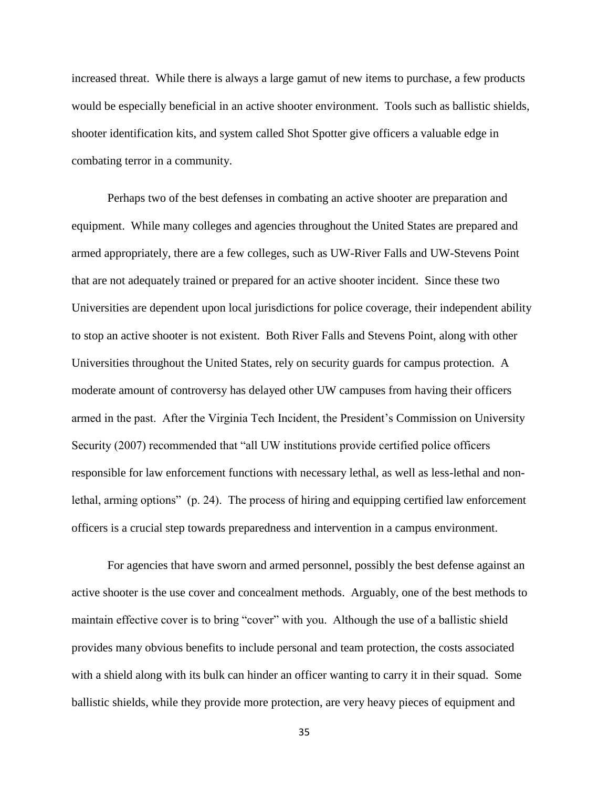increased threat. While there is always a large gamut of new items to purchase, a few products would be especially beneficial in an active shooter environment. Tools such as ballistic shields, shooter identification kits, and system called Shot Spotter give officers a valuable edge in combating terror in a community.

Perhaps two of the best defenses in combating an active shooter are preparation and equipment. While many colleges and agencies throughout the United States are prepared and armed appropriately, there are a few colleges, such as UW-River Falls and UW-Stevens Point that are not adequately trained or prepared for an active shooter incident. Since these two Universities are dependent upon local jurisdictions for police coverage, their independent ability to stop an active shooter is not existent. Both River Falls and Stevens Point, along with other Universities throughout the United States, rely on security guards for campus protection. A moderate amount of controversy has delayed other UW campuses from having their officers armed in the past. After the Virginia Tech Incident, the President's Commission on University Security (2007) recommended that "all UW institutions provide certified police officers responsible for law enforcement functions with necessary lethal, as well as less-lethal and nonlethal, arming options" (p. 24). The process of hiring and equipping certified law enforcement officers is a crucial step towards preparedness and intervention in a campus environment.

For agencies that have sworn and armed personnel, possibly the best defense against an active shooter is the use cover and concealment methods. Arguably, one of the best methods to maintain effective cover is to bring "cover" with you. Although the use of a ballistic shield provides many obvious benefits to include personal and team protection, the costs associated with a shield along with its bulk can hinder an officer wanting to carry it in their squad. Some ballistic shields, while they provide more protection, are very heavy pieces of equipment and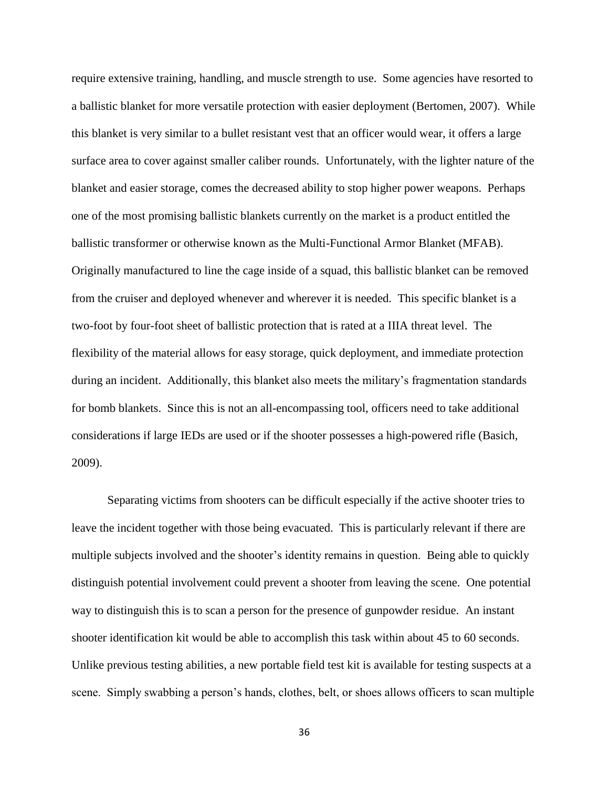require extensive training, handling, and muscle strength to use. Some agencies have resorted to a ballistic blanket for more versatile protection with easier deployment (Bertomen, 2007). While this blanket is very similar to a bullet resistant vest that an officer would wear, it offers a large surface area to cover against smaller caliber rounds. Unfortunately, with the lighter nature of the blanket and easier storage, comes the decreased ability to stop higher power weapons. Perhaps one of the most promising ballistic blankets currently on the market is a product entitled the ballistic transformer or otherwise known as the Multi-Functional Armor Blanket (MFAB). Originally manufactured to line the cage inside of a squad, this ballistic blanket can be removed from the cruiser and deployed whenever and wherever it is needed. This specific blanket is a two-foot by four-foot sheet of ballistic protection that is rated at a IIIA threat level. The flexibility of the material allows for easy storage, quick deployment, and immediate protection during an incident. Additionally, this blanket also meets the military's fragmentation standards for bomb blankets. Since this is not an all-encompassing tool, officers need to take additional considerations if large IEDs are used or if the shooter possesses a high-powered rifle (Basich, 2009).

Separating victims from shooters can be difficult especially if the active shooter tries to leave the incident together with those being evacuated. This is particularly relevant if there are multiple subjects involved and the shooter's identity remains in question. Being able to quickly distinguish potential involvement could prevent a shooter from leaving the scene. One potential way to distinguish this is to scan a person for the presence of gunpowder residue. An instant shooter identification kit would be able to accomplish this task within about 45 to 60 seconds. Unlike previous testing abilities, a new portable field test kit is available for testing suspects at a scene. Simply swabbing a person's hands, clothes, belt, or shoes allows officers to scan multiple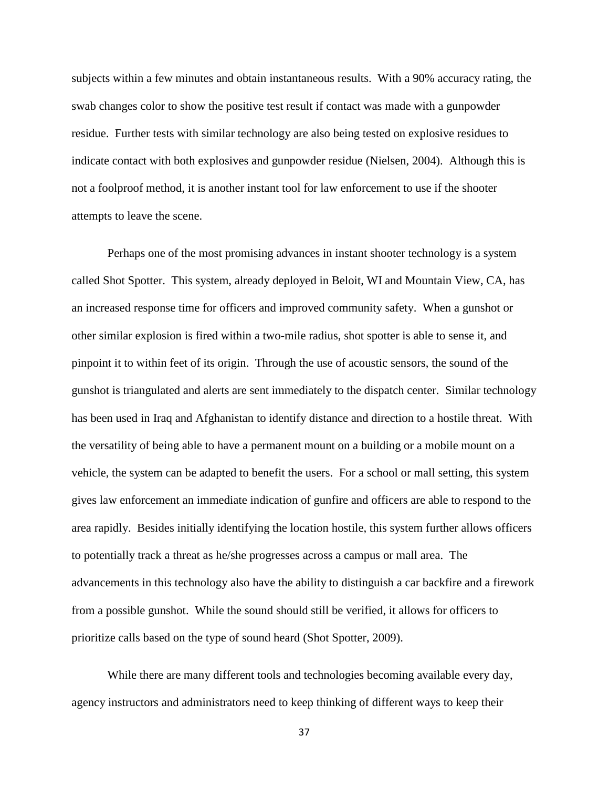subjects within a few minutes and obtain instantaneous results. With a 90% accuracy rating, the swab changes color to show the positive test result if contact was made with a gunpowder residue. Further tests with similar technology are also being tested on explosive residues to indicate contact with both explosives and gunpowder residue (Nielsen, 2004). Although this is not a foolproof method, it is another instant tool for law enforcement to use if the shooter attempts to leave the scene.

Perhaps one of the most promising advances in instant shooter technology is a system called Shot Spotter. This system, already deployed in Beloit, WI and Mountain View, CA, has an increased response time for officers and improved community safety. When a gunshot or other similar explosion is fired within a two-mile radius, shot spotter is able to sense it, and pinpoint it to within feet of its origin. Through the use of acoustic sensors, the sound of the gunshot is triangulated and alerts are sent immediately to the dispatch center. Similar technology has been used in Iraq and Afghanistan to identify distance and direction to a hostile threat. With the versatility of being able to have a permanent mount on a building or a mobile mount on a vehicle, the system can be adapted to benefit the users. For a school or mall setting, this system gives law enforcement an immediate indication of gunfire and officers are able to respond to the area rapidly. Besides initially identifying the location hostile, this system further allows officers to potentially track a threat as he/she progresses across a campus or mall area. The advancements in this technology also have the ability to distinguish a car backfire and a firework from a possible gunshot. While the sound should still be verified, it allows for officers to prioritize calls based on the type of sound heard (Shot Spotter, 2009).

While there are many different tools and technologies becoming available every day, agency instructors and administrators need to keep thinking of different ways to keep their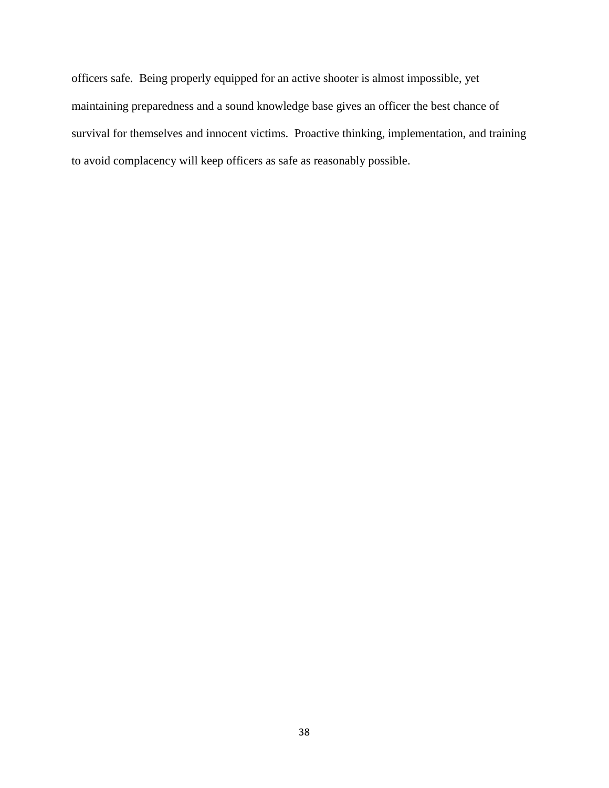officers safe. Being properly equipped for an active shooter is almost impossible, yet maintaining preparedness and a sound knowledge base gives an officer the best chance of survival for themselves and innocent victims. Proactive thinking, implementation, and training to avoid complacency will keep officers as safe as reasonably possible.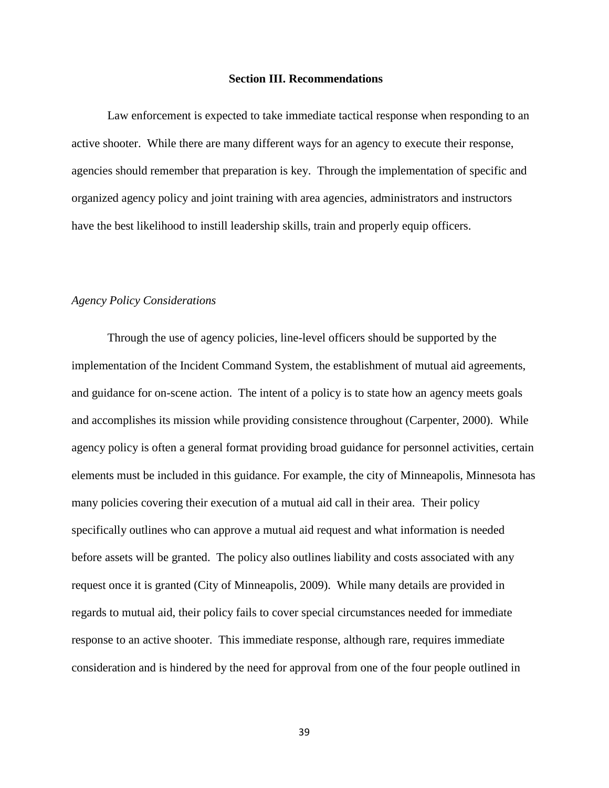#### **Section III. Recommendations**

Law enforcement is expected to take immediate tactical response when responding to an active shooter. While there are many different ways for an agency to execute their response, agencies should remember that preparation is key. Through the implementation of specific and organized agency policy and joint training with area agencies, administrators and instructors have the best likelihood to instill leadership skills, train and properly equip officers.

## *Agency Policy Considerations*

Through the use of agency policies, line-level officers should be supported by the implementation of the Incident Command System, the establishment of mutual aid agreements, and guidance for on-scene action. The intent of a policy is to state how an agency meets goals and accomplishes its mission while providing consistence throughout (Carpenter, 2000). While agency policy is often a general format providing broad guidance for personnel activities, certain elements must be included in this guidance. For example, the city of Minneapolis, Minnesota has many policies covering their execution of a mutual aid call in their area. Their policy specifically outlines who can approve a mutual aid request and what information is needed before assets will be granted. The policy also outlines liability and costs associated with any request once it is granted (City of Minneapolis, 2009). While many details are provided in regards to mutual aid, their policy fails to cover special circumstances needed for immediate response to an active shooter. This immediate response, although rare, requires immediate consideration and is hindered by the need for approval from one of the four people outlined in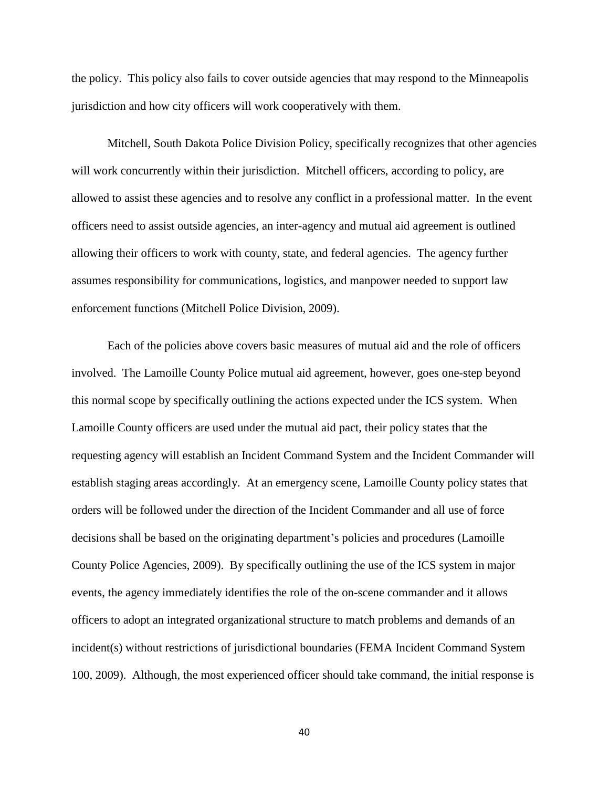the policy. This policy also fails to cover outside agencies that may respond to the Minneapolis jurisdiction and how city officers will work cooperatively with them.

Mitchell, South Dakota Police Division Policy, specifically recognizes that other agencies will work concurrently within their jurisdiction. Mitchell officers, according to policy, are allowed to assist these agencies and to resolve any conflict in a professional matter. In the event officers need to assist outside agencies, an inter-agency and mutual aid agreement is outlined allowing their officers to work with county, state, and federal agencies. The agency further assumes responsibility for communications, logistics, and manpower needed to support law enforcement functions (Mitchell Police Division, 2009).

Each of the policies above covers basic measures of mutual aid and the role of officers involved. The Lamoille County Police mutual aid agreement, however, goes one-step beyond this normal scope by specifically outlining the actions expected under the ICS system. When Lamoille County officers are used under the mutual aid pact, their policy states that the requesting agency will establish an Incident Command System and the Incident Commander will establish staging areas accordingly. At an emergency scene, Lamoille County policy states that orders will be followed under the direction of the Incident Commander and all use of force decisions shall be based on the originating department's policies and procedures (Lamoille County Police Agencies, 2009). By specifically outlining the use of the ICS system in major events, the agency immediately identifies the role of the on-scene commander and it allows officers to adopt an integrated organizational structure to match problems and demands of an incident(s) without restrictions of jurisdictional boundaries (FEMA Incident Command System 100, 2009). Although, the most experienced officer should take command, the initial response is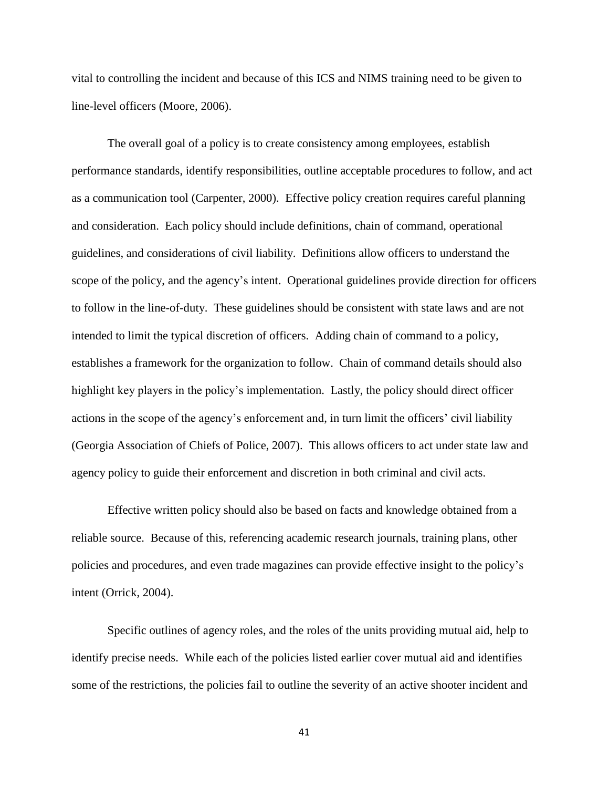vital to controlling the incident and because of this ICS and NIMS training need to be given to line-level officers (Moore, 2006).

The overall goal of a policy is to create consistency among employees, establish performance standards, identify responsibilities, outline acceptable procedures to follow, and act as a communication tool (Carpenter, 2000). Effective policy creation requires careful planning and consideration. Each policy should include definitions, chain of command, operational guidelines, and considerations of civil liability. Definitions allow officers to understand the scope of the policy, and the agency's intent. Operational guidelines provide direction for officers to follow in the line-of-duty. These guidelines should be consistent with state laws and are not intended to limit the typical discretion of officers. Adding chain of command to a policy, establishes a framework for the organization to follow. Chain of command details should also highlight key players in the policy's implementation. Lastly, the policy should direct officer actions in the scope of the agency's enforcement and, in turn limit the officers' civil liability (Georgia Association of Chiefs of Police, 2007). This allows officers to act under state law and agency policy to guide their enforcement and discretion in both criminal and civil acts.

Effective written policy should also be based on facts and knowledge obtained from a reliable source. Because of this, referencing academic research journals, training plans, other policies and procedures, and even trade magazines can provide effective insight to the policy's intent (Orrick, 2004).

Specific outlines of agency roles, and the roles of the units providing mutual aid, help to identify precise needs. While each of the policies listed earlier cover mutual aid and identifies some of the restrictions, the policies fail to outline the severity of an active shooter incident and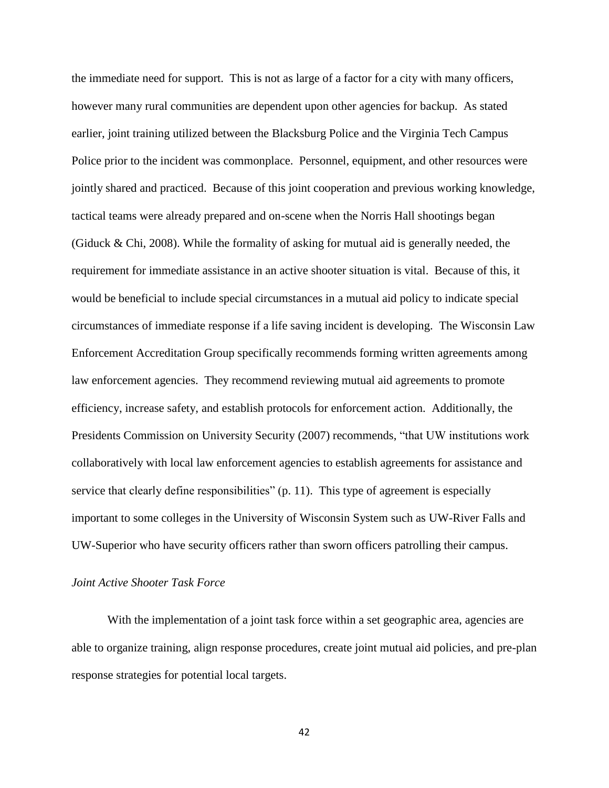the immediate need for support. This is not as large of a factor for a city with many officers, however many rural communities are dependent upon other agencies for backup. As stated earlier, joint training utilized between the Blacksburg Police and the Virginia Tech Campus Police prior to the incident was commonplace. Personnel, equipment, and other resources were jointly shared and practiced. Because of this joint cooperation and previous working knowledge, tactical teams were already prepared and on-scene when the Norris Hall shootings began (Giduck & Chi, 2008). While the formality of asking for mutual aid is generally needed, the requirement for immediate assistance in an active shooter situation is vital. Because of this, it would be beneficial to include special circumstances in a mutual aid policy to indicate special circumstances of immediate response if a life saving incident is developing. The Wisconsin Law Enforcement Accreditation Group specifically recommends forming written agreements among law enforcement agencies. They recommend reviewing mutual aid agreements to promote efficiency, increase safety, and establish protocols for enforcement action. Additionally, the Presidents Commission on University Security (2007) recommends, "that UW institutions work collaboratively with local law enforcement agencies to establish agreements for assistance and service that clearly define responsibilities" (p. 11). This type of agreement is especially important to some colleges in the University of Wisconsin System such as UW-River Falls and UW-Superior who have security officers rather than sworn officers patrolling their campus.

## *Joint Active Shooter Task Force*

With the implementation of a joint task force within a set geographic area, agencies are able to organize training, align response procedures, create joint mutual aid policies, and pre-plan response strategies for potential local targets.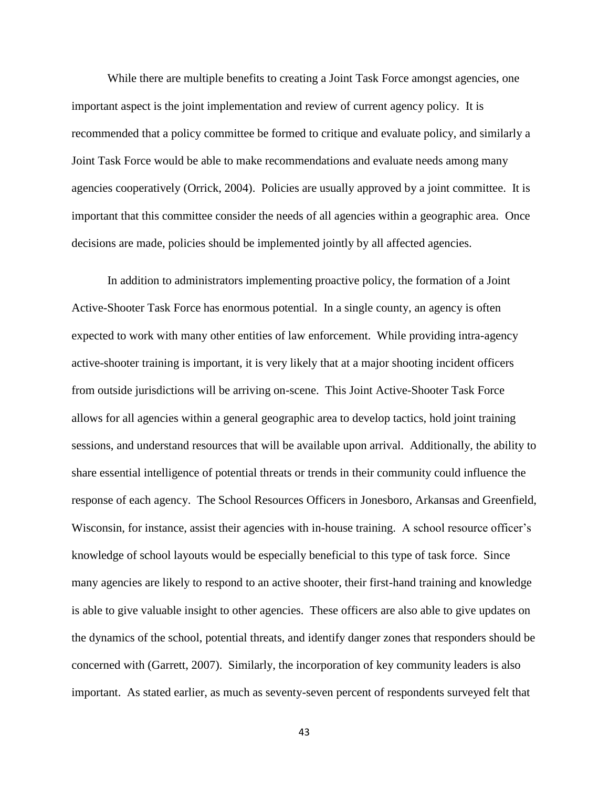While there are multiple benefits to creating a Joint Task Force amongst agencies, one important aspect is the joint implementation and review of current agency policy. It is recommended that a policy committee be formed to critique and evaluate policy, and similarly a Joint Task Force would be able to make recommendations and evaluate needs among many agencies cooperatively (Orrick, 2004). Policies are usually approved by a joint committee. It is important that this committee consider the needs of all agencies within a geographic area. Once decisions are made, policies should be implemented jointly by all affected agencies.

In addition to administrators implementing proactive policy, the formation of a Joint Active-Shooter Task Force has enormous potential. In a single county, an agency is often expected to work with many other entities of law enforcement. While providing intra-agency active-shooter training is important, it is very likely that at a major shooting incident officers from outside jurisdictions will be arriving on-scene. This Joint Active-Shooter Task Force allows for all agencies within a general geographic area to develop tactics, hold joint training sessions, and understand resources that will be available upon arrival. Additionally, the ability to share essential intelligence of potential threats or trends in their community could influence the response of each agency. The School Resources Officers in Jonesboro, Arkansas and Greenfield, Wisconsin, for instance, assist their agencies with in-house training. A school resource officer's knowledge of school layouts would be especially beneficial to this type of task force. Since many agencies are likely to respond to an active shooter, their first-hand training and knowledge is able to give valuable insight to other agencies. These officers are also able to give updates on the dynamics of the school, potential threats, and identify danger zones that responders should be concerned with (Garrett, 2007). Similarly, the incorporation of key community leaders is also important. As stated earlier, as much as seventy-seven percent of respondents surveyed felt that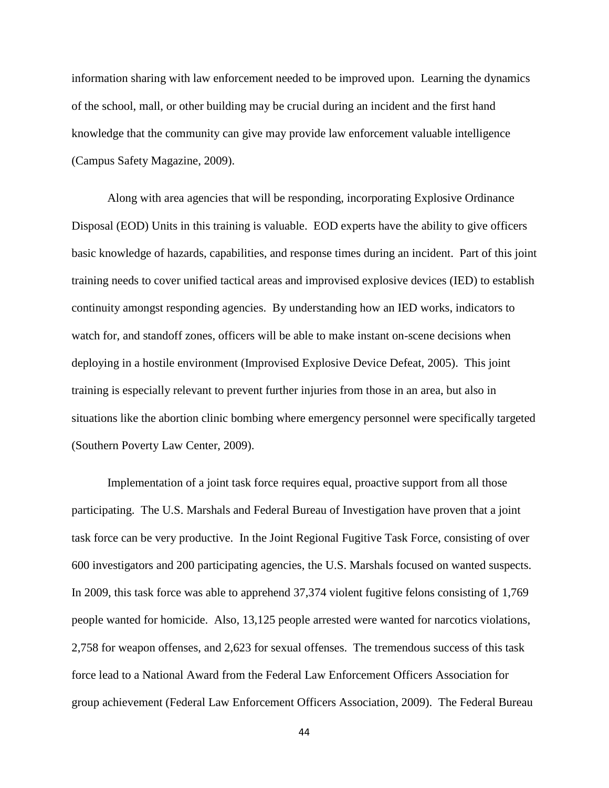information sharing with law enforcement needed to be improved upon. Learning the dynamics of the school, mall, or other building may be crucial during an incident and the first hand knowledge that the community can give may provide law enforcement valuable intelligence (Campus Safety Magazine, 2009).

Along with area agencies that will be responding, incorporating Explosive Ordinance Disposal (EOD) Units in this training is valuable. EOD experts have the ability to give officers basic knowledge of hazards, capabilities, and response times during an incident. Part of this joint training needs to cover unified tactical areas and improvised explosive devices (IED) to establish continuity amongst responding agencies. By understanding how an IED works, indicators to watch for, and standoff zones, officers will be able to make instant on-scene decisions when deploying in a hostile environment (Improvised Explosive Device Defeat, 2005). This joint training is especially relevant to prevent further injuries from those in an area, but also in situations like the abortion clinic bombing where emergency personnel were specifically targeted (Southern Poverty Law Center, 2009).

Implementation of a joint task force requires equal, proactive support from all those participating. The U.S. Marshals and Federal Bureau of Investigation have proven that a joint task force can be very productive. In the Joint Regional Fugitive Task Force, consisting of over 600 investigators and 200 participating agencies, the U.S. Marshals focused on wanted suspects. In 2009, this task force was able to apprehend 37,374 violent fugitive felons consisting of 1,769 people wanted for homicide. Also, 13,125 people arrested were wanted for narcotics violations, 2,758 for weapon offenses, and 2,623 for sexual offenses. The tremendous success of this task force lead to a National Award from the Federal Law Enforcement Officers Association for group achievement (Federal Law Enforcement Officers Association, 2009). The Federal Bureau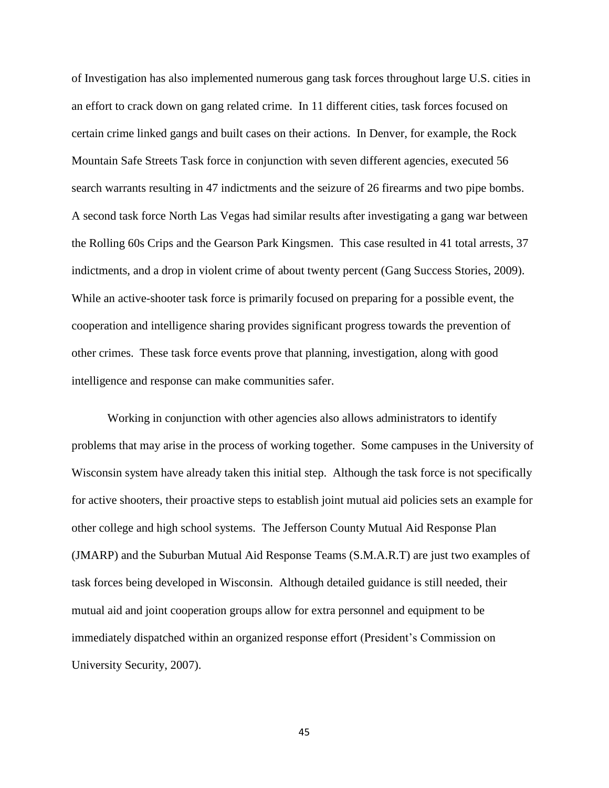of Investigation has also implemented numerous gang task forces throughout large U.S. cities in an effort to crack down on gang related crime. In 11 different cities, task forces focused on certain crime linked gangs and built cases on their actions. In Denver, for example, the Rock Mountain Safe Streets Task force in conjunction with seven different agencies, executed 56 search warrants resulting in 47 indictments and the seizure of 26 firearms and two pipe bombs. A second task force North Las Vegas had similar results after investigating a gang war between the Rolling 60s Crips and the Gearson Park Kingsmen. This case resulted in 41 total arrests, 37 indictments, and a drop in violent crime of about twenty percent (Gang Success Stories, 2009). While an active-shooter task force is primarily focused on preparing for a possible event, the cooperation and intelligence sharing provides significant progress towards the prevention of other crimes. These task force events prove that planning, investigation, along with good intelligence and response can make communities safer.

Working in conjunction with other agencies also allows administrators to identify problems that may arise in the process of working together. Some campuses in the University of Wisconsin system have already taken this initial step. Although the task force is not specifically for active shooters, their proactive steps to establish joint mutual aid policies sets an example for other college and high school systems. The Jefferson County Mutual Aid Response Plan (JMARP) and the Suburban Mutual Aid Response Teams (S.M.A.R.T) are just two examples of task forces being developed in Wisconsin. Although detailed guidance is still needed, their mutual aid and joint cooperation groups allow for extra personnel and equipment to be immediately dispatched within an organized response effort (President's Commission on University Security, 2007).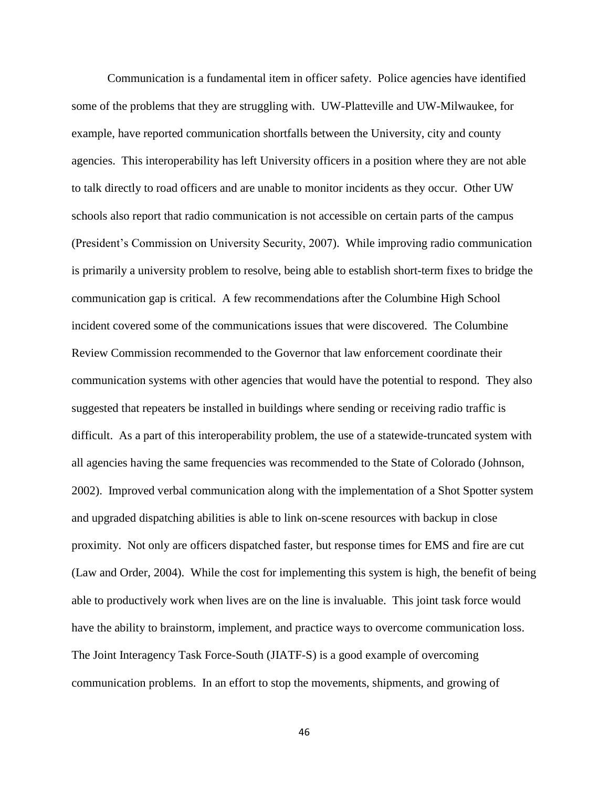Communication is a fundamental item in officer safety. Police agencies have identified some of the problems that they are struggling with. UW-Platteville and UW-Milwaukee, for example, have reported communication shortfalls between the University, city and county agencies. This interoperability has left University officers in a position where they are not able to talk directly to road officers and are unable to monitor incidents as they occur. Other UW schools also report that radio communication is not accessible on certain parts of the campus (President's Commission on University Security, 2007). While improving radio communication is primarily a university problem to resolve, being able to establish short-term fixes to bridge the communication gap is critical. A few recommendations after the Columbine High School incident covered some of the communications issues that were discovered. The Columbine Review Commission recommended to the Governor that law enforcement coordinate their communication systems with other agencies that would have the potential to respond. They also suggested that repeaters be installed in buildings where sending or receiving radio traffic is difficult. As a part of this interoperability problem, the use of a statewide-truncated system with all agencies having the same frequencies was recommended to the State of Colorado (Johnson, 2002). Improved verbal communication along with the implementation of a Shot Spotter system and upgraded dispatching abilities is able to link on-scene resources with backup in close proximity. Not only are officers dispatched faster, but response times for EMS and fire are cut (Law and Order, 2004). While the cost for implementing this system is high, the benefit of being able to productively work when lives are on the line is invaluable. This joint task force would have the ability to brainstorm, implement, and practice ways to overcome communication loss. The Joint Interagency Task Force-South (JIATF-S) is a good example of overcoming communication problems. In an effort to stop the movements, shipments, and growing of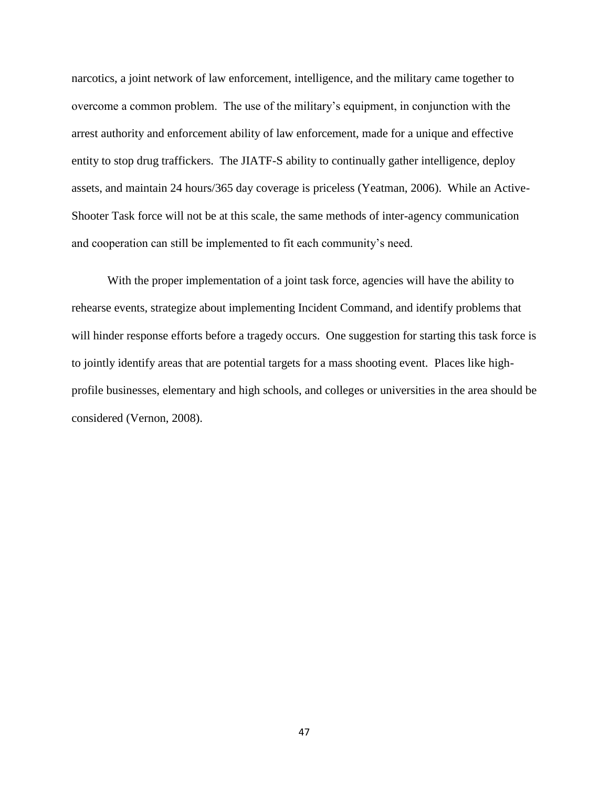narcotics, a joint network of law enforcement, intelligence, and the military came together to overcome a common problem. The use of the military's equipment, in conjunction with the arrest authority and enforcement ability of law enforcement, made for a unique and effective entity to stop drug traffickers. The JIATF-S ability to continually gather intelligence, deploy assets, and maintain 24 hours/365 day coverage is priceless (Yeatman, 2006). While an Active-Shooter Task force will not be at this scale, the same methods of inter-agency communication and cooperation can still be implemented to fit each community's need.

With the proper implementation of a joint task force, agencies will have the ability to rehearse events, strategize about implementing Incident Command, and identify problems that will hinder response efforts before a tragedy occurs. One suggestion for starting this task force is to jointly identify areas that are potential targets for a mass shooting event. Places like highprofile businesses, elementary and high schools, and colleges or universities in the area should be considered (Vernon, 2008).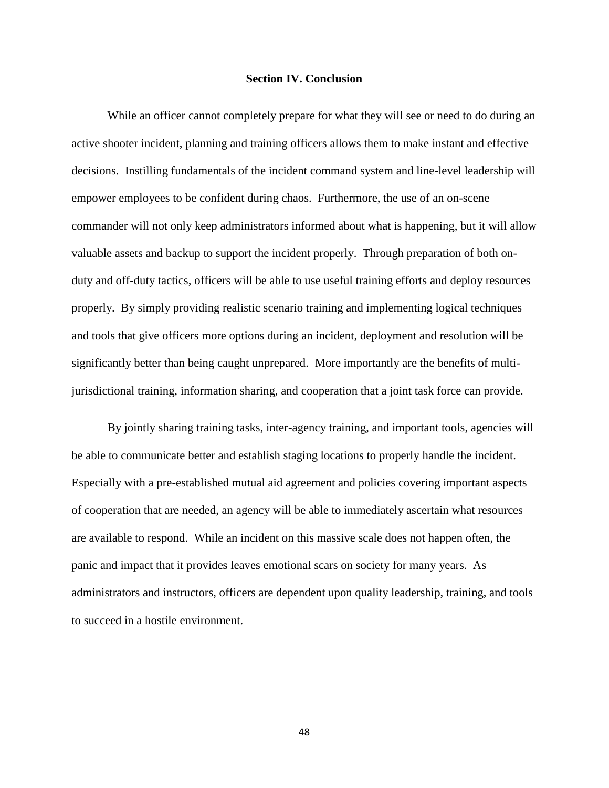#### **Section IV. Conclusion**

While an officer cannot completely prepare for what they will see or need to do during an active shooter incident, planning and training officers allows them to make instant and effective decisions. Instilling fundamentals of the incident command system and line-level leadership will empower employees to be confident during chaos. Furthermore, the use of an on-scene commander will not only keep administrators informed about what is happening, but it will allow valuable assets and backup to support the incident properly. Through preparation of both onduty and off-duty tactics, officers will be able to use useful training efforts and deploy resources properly. By simply providing realistic scenario training and implementing logical techniques and tools that give officers more options during an incident, deployment and resolution will be significantly better than being caught unprepared. More importantly are the benefits of multijurisdictional training, information sharing, and cooperation that a joint task force can provide.

By jointly sharing training tasks, inter-agency training, and important tools, agencies will be able to communicate better and establish staging locations to properly handle the incident. Especially with a pre-established mutual aid agreement and policies covering important aspects of cooperation that are needed, an agency will be able to immediately ascertain what resources are available to respond. While an incident on this massive scale does not happen often, the panic and impact that it provides leaves emotional scars on society for many years. As administrators and instructors, officers are dependent upon quality leadership, training, and tools to succeed in a hostile environment.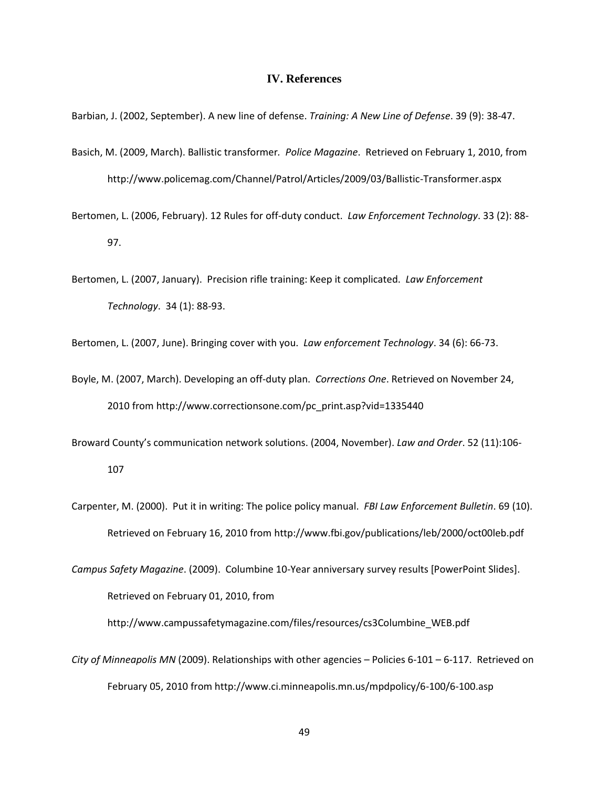#### **IV. References**

Barbian, J. (2002, September). A new line of defense. *Training: A New Line of Defense*. 39 (9): 38-47.

- Basich, M. (2009, March). Ballistic transformer*. Police Magazine*. Retrieved on February 1, 2010, from http://www.policemag.com/Channel/Patrol/Articles/2009/03/Ballistic-Transformer.aspx
- Bertomen, L. (2006, February). 12 Rules for off-duty conduct. *Law Enforcement Technology*. 33 (2): 88- 97.
- Bertomen, L. (2007, January). Precision rifle training: Keep it complicated. *Law Enforcement Technology*. 34 (1): 88-93.

Bertomen, L. (2007, June). Bringing cover with you. *Law enforcement Technology*. 34 (6): 66-73.

- Boyle, M. (2007, March). Developing an off-duty plan. *Corrections One*. Retrieved on November 24, 2010 from [http://www.correctionsone.com/pc\\_print.asp?vid=1335440](http://www.correctionsone.com/pc_print.asp?vid=1335440)
- Broward County's communication network solutions. (2004, November). *Law and Order*. 52 (11):106- 107
- Carpenter, M. (2000). Put it in writing: The police policy manual. *FBI Law Enforcement Bulletin*. 69 (10). Retrieved on February 16, 2010 from http://www.fbi.gov/publications/leb/2000/oct00leb.pdf
- *Campus Safety Magazine*. (2009). Columbine 10-Year anniversary survey results [PowerPoint Slides]. Retrieved on February 01, 2010, from

[http://www.campussafetymagazine.com/files/resources/cs3Columbine\\_WEB.pdf](http://www.campussafetymagazine.com/files/resources/cs3Columbine_WEB.pdf)

*City of Minneapolis MN* (2009). Relationships with other agencies – Policies 6-101 – 6-117. Retrieved on February 05, 2010 from http://www.ci.minneapolis.mn.us/mpdpolicy/6-100/6-100.asp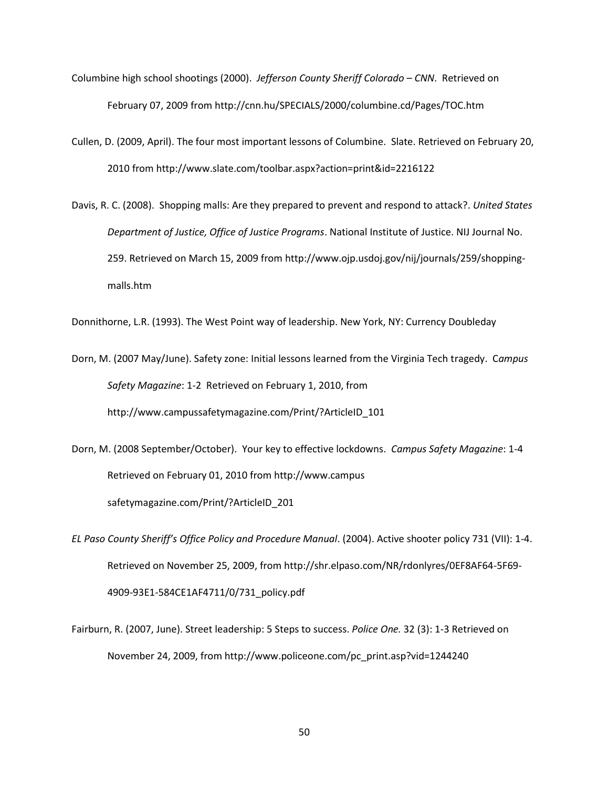- Columbine high school shootings (2000). *Jefferson County Sheriff Colorado – CNN*. Retrieved on February 07, 2009 from<http://cnn.hu/SPECIALS/2000/columbine.cd/Pages/TOC.htm>
- Cullen, D. (2009, April). The four most important lessons of Columbine. Slate. Retrieved on February 20, 2010 from http://www.slate.com/toolbar.aspx?action=print&id=2216122
- Davis, R. C. (2008). Shopping malls: Are they prepared to prevent and respond to attack?. *United States Department of Justice, Office of Justice Programs*. National Institute of Justice. NIJ Journal No. 259. Retrieved on March 15, 2009 fro[m http://www.ojp.usdoj.gov/nij/journals/259/shopping](http://www.ojp.usdoj.gov/nij/journals/259/shopping-malls.htm)[malls.htm](http://www.ojp.usdoj.gov/nij/journals/259/shopping-malls.htm)

Donnithorne, L.R. (1993). The West Point way of leadership. New York, NY: Currency Doubleday

- Dorn, M. (2007 May/June). Safety zone: Initial lessons learned from the Virginia Tech tragedy. C*ampus Safety Magazine*: 1-2 Retrieved on February 1, 2010, from [http://www.campussafetymagazine.com/Print/?ArticleID\\_101](http://www.campussafetymagazine.com/Print/?ArticleID_101)
- Dorn, M. (2008 September/October). Your key to effective lockdowns. *Campus Safety Magazine*: 1-4 Retrieved on February 01, 2010 from http://www.campus safetymagazine.com/Print/?ArticleID\_201
- *EL Paso County Sheriff's Office Policy and Procedure Manual*. (2004). Active shooter policy 731 (VII): 1-4. Retrieved on November 25, 2009, fro[m http://shr.elpaso.com/NR/rdonlyres/0EF8AF64-5F69-](http://shr.elpaso.com/NR/rdonlyres/0EF8AF64-5F69-4909-93E1-584CE1AF4711/0/731_policy.pdf) [4909-93E1-584CE1AF4711/0/731\\_policy.pdf](http://shr.elpaso.com/NR/rdonlyres/0EF8AF64-5F69-4909-93E1-584CE1AF4711/0/731_policy.pdf)
- Fairburn, R. (2007, June). Street leadership: 5 Steps to success. *Police One.* 32 (3): 1-3 Retrieved on November 24, 2009, from [http://www.policeone.com/pc\\_print.asp?vid=1244240](http://www.policeone.com/pc_print.asp?vid=1244240)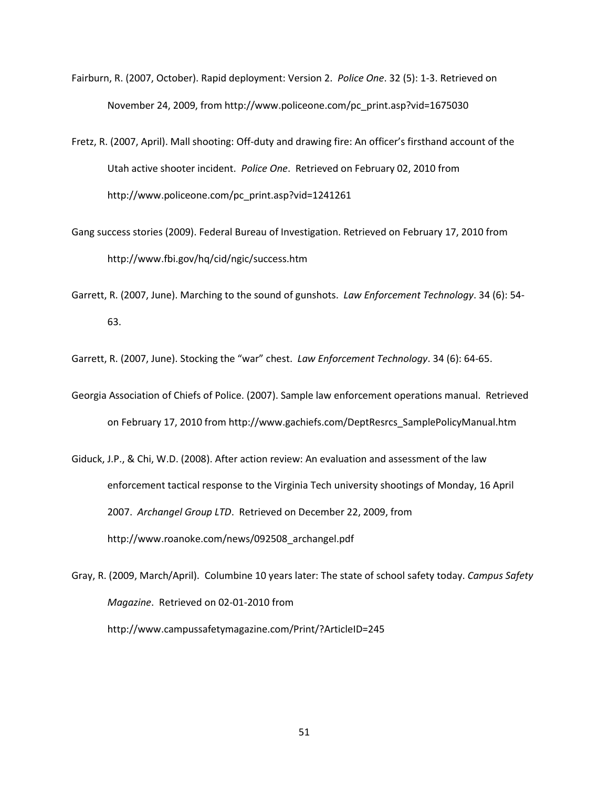- Fairburn, R. (2007, October). Rapid deployment: Version 2. *Police One*. 32 (5): 1-3. Retrieved on November 24, 2009, from [http://www.policeone.com/pc\\_print.asp?vid=1675030](http://www.policeone.com/pc_print.asp?vid=1675030)
- Fretz, R. (2007, April). Mall shooting: Off-duty and drawing fire: An officer's firsthand account of the Utah active shooter incident. *Police One*. Retrieved on February 02, 2010 from [http://www.policeone.com/pc\\_print.asp?vid=1241261](http://www.policeone.com/pc_print.asp?vid=1241261)
- Gang success stories (2009). Federal Bureau of Investigation. Retrieved on February 17, 2010 from http://www.fbi.gov/hq/cid/ngic/success.htm
- Garrett, R. (2007, June). Marching to the sound of gunshots. *Law Enforcement Technology*. 34 (6): 54- 63.

Garrett, R. (2007, June). Stocking the "war" chest. *Law Enforcement Technology*. 34 (6): 64-65.

- Georgia Association of Chiefs of Police. (2007). Sample law enforcement operations manual. Retrieved on February 17, 2010 from http://www.gachiefs.com/DeptResrcs\_SamplePolicyManual.htm
- Giduck, J.P., & Chi, W.D. (2008). After action review: An evaluation and assessment of the law enforcement tactical response to the Virginia Tech university shootings of Monday, 16 April 2007. *Archangel Group LTD*. Retrieved on December 22, 2009, from [http://www.roanoke.com/news/092508\\_archangel.pdf](http://www.roanoke.com/news/092508_archangel.pdf)
- Gray, R. (2009, March/April). Columbine 10 years later: The state of school safety today. *Campus Safety Magazine*. Retrieved on 02-01-2010 from <http://www.campussafetymagazine.com/Print/?ArticleID=245>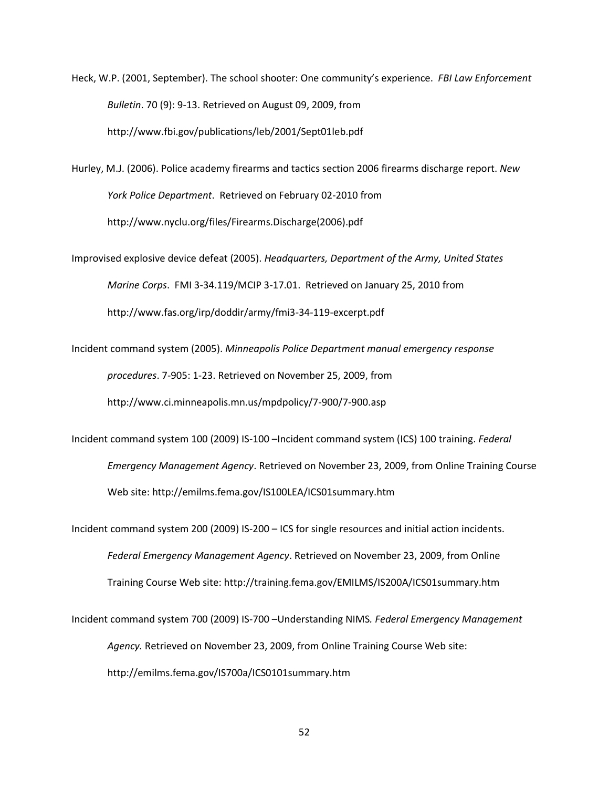Heck, W.P. (2001, September). The school shooter: One community's experience. *FBI Law Enforcement Bulletin*. 70 (9): 9-13. Retrieved on August 09, 2009, from <http://www.fbi.gov/publications/leb/2001/Sept01leb.pdf>

Hurley, M.J. (2006). Police academy firearms and tactics section 2006 firearms discharge report. *New York Police Department*. Retrieved on February 02-2010 from [http://www.nyclu.org/files/Firearms.Discharge\(2006\).pdf](http://www.nyclu.org/files/Firearms.Discharge(2006).pdf)

Improvised explosive device defeat (2005). *Headquarters, Department of the Army, United States Marine Corps*. FMI 3-34.119/MCIP 3-17.01. Retrieved on January 25, 2010 from <http://www.fas.org/irp/doddir/army/fmi3-34-119-excerpt.pdf>

Incident command system (2005). *Minneapolis Police Department manual emergency response procedures*. 7-905: 1-23. Retrieved on November 25, 2009, from <http://www.ci.minneapolis.mn.us/mpdpolicy/7-900/7-900.asp>

Incident command system 100 (2009) IS-100 –Incident command system (ICS) 100 training. *Federal Emergency Management Agency*. Retrieved on November 23, 2009, from Online Training Course Web site:<http://emilms.fema.gov/IS100LEA/ICS01summary.htm>

Incident command system 200 (2009) IS-200 – ICS for single resources and initial action incidents. *Federal Emergency Management Agency*. Retrieved on November 23, 2009, from Online Training Course Web site:<http://training.fema.gov/EMILMS/IS200A/ICS01summary.htm>

Incident command system 700 (2009) IS-700 –Understanding NIMS*. Federal Emergency Management Agency.* Retrieved on November 23, 2009, from Online Training Course Web site: <http://emilms.fema.gov/IS700a/ICS0101summary.htm>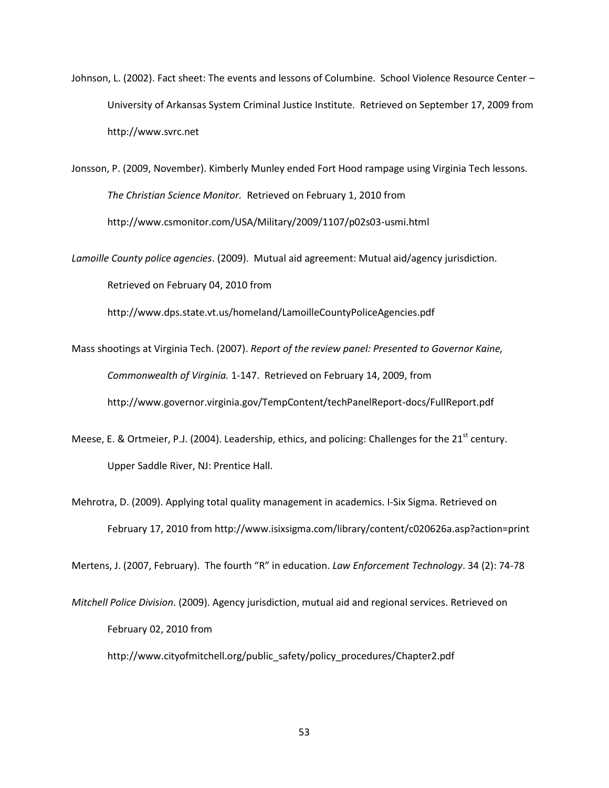Johnson, L. (2002). Fact sheet: The events and lessons of Columbine. School Violence Resource Center – University of Arkansas System Criminal Justice Institute. Retrieved on September 17, 2009 from http://www.svrc.net

Jonsson, P. (2009, November). Kimberly Munley ended Fort Hood rampage using Virginia Tech lessons. *The Christian Science Monitor.* Retrieved on February 1, 2010 from http://www.csmonitor.com/USA/Military/2009/1107/p02s03-usmi.html

*Lamoille County police agencies*. (2009). Mutual aid agreement: Mutual aid/agency jurisdiction. Retrieved on February 04, 2010 from

http://www.dps.state.vt.us/homeland/LamoilleCountyPoliceAgencies.pdf

Mass shootings at Virginia Tech. (2007). *Report of the review panel: Presented to Governor Kaine, Commonwealth of Virginia.* 1-147. Retrieved on February 14, 2009, from http://www.governor.virginia.gov/TempContent/techPanelReport-docs/FullReport.pdf

- Meese, E. & Ortmeier, P.J. (2004). Leadership, ethics, and policing: Challenges for the 21<sup>st</sup> century. Upper Saddle River, NJ: Prentice Hall.
- Mehrotra, D. (2009). Applying total quality management in academics. I-Six Sigma. Retrieved on February 17, 2010 from http://www.isixsigma.com/library/content/c020626a.asp?action=print

Mertens, J. (2007, February). The fourth "R" in education. *Law Enforcement Technology*. 34 (2): 74-78

*Mitchell Police Division*. (2009). Agency jurisdiction, mutual aid and regional services. Retrieved on February 02, 2010 from

http://www.cityofmitchell.org/public\_safety/policy\_procedures/Chapter2.pdf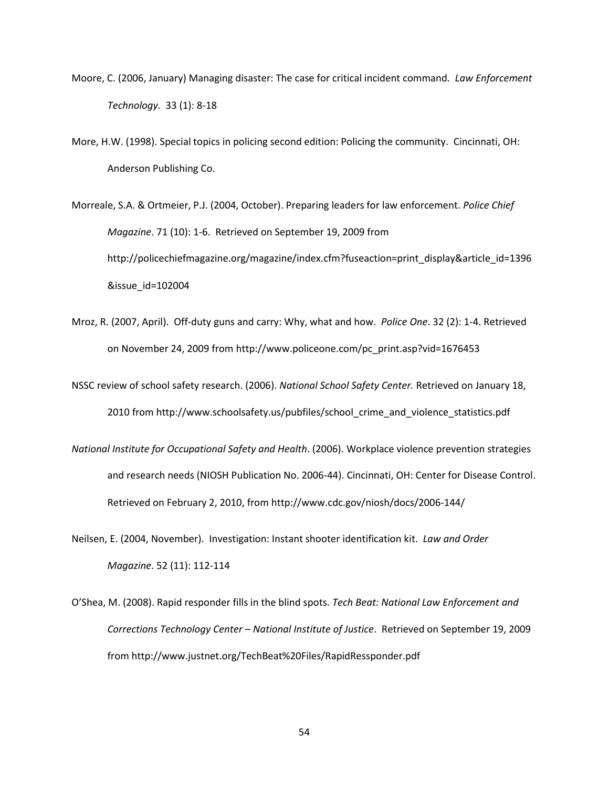- Moore, C. (2006, January) Managing disaster: The case for critical incident command. *Law Enforcement Technology*. 33 (1): 8-18
- More, H.W. (1998). Special topics in policing second edition: Policing the community. Cincinnati, OH: Anderson Publishing Co.
- Morreale, S.A. & Ortmeier, P.J. (2004, October). Preparing leaders for law enforcement. *Police Chief Magazine*. 71 (10): 1-6. Retrieved on September 19, 2009 from http://policechiefmagazine.org/magazine/index.cfm?fuseaction=print\_display&article\_id=1396 &issue\_id=102004
- Mroz, R. (2007, April). Off-duty guns and carry: Why, what and how. *Police One*. 32 (2): 1-4. Retrieved on November 24, 2009 from [http://www.policeone.com/pc\\_print.asp?vid=1676453](http://www.policeone.com/pc_print.asp?vid=1676453)
- NSSC review of school safety research. (2006). *National School Safety Center.* Retrieved on January 18, 2010 from http://www.schoolsafety.us/pubfiles/school\_crime\_and\_violence\_statistics.pdf
- *National Institute for Occupational Safety and Health*. (2006). Workplace violence prevention strategies and research needs (NIOSH Publication No. 2006-44). Cincinnati, OH: Center for Disease Control. Retrieved on February 2, 2010, from<http://www.cdc.gov/niosh/docs/2006-144/>
- Neilsen, E. (2004, November). Investigation: Instant shooter identification kit. *Law and Order Magazine*. 52 (11): 112-114
- O'Shea, M. (2008). Rapid responder fills in the blind spots. *Tech Beat: National Law Enforcement and Corrections Technology Center – National Institute of Justice*. Retrieved on September 19, 2009 from http://www.justnet.org/TechBeat%20Files/RapidRessponder.pdf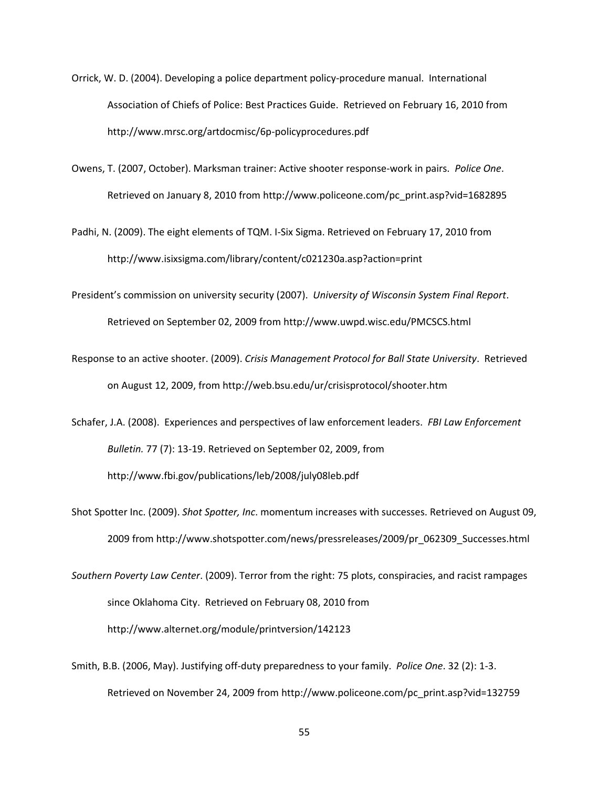- Orrick, W. D. (2004). Developing a police department policy-procedure manual. International Association of Chiefs of Police: Best Practices Guide. Retrieved on February 16, 2010 from http://www.mrsc.org/artdocmisc/6p-policyprocedures.pdf
- Owens, T. (2007, October). Marksman trainer: Active shooter response-work in pairs. *Police One*. Retrieved on January 8, 2010 from [http://www.policeone.com/pc\\_print.asp?vid=1682895](http://www.policeone.com/pc_print.asp?vid=1682895)
- Padhi, N. (2009). The eight elements of TQM. I-Six Sigma. Retrieved on February 17, 2010 from http://www.isixsigma.com/library/content/c021230a.asp?action=print
- President's commission on university security (2007). *University of Wisconsin System Final Report*. Retrieved on September 02, 2009 from<http://www.uwpd.wisc.edu/PMCSCS.html>
- Response to an active shooter. (2009). *Crisis Management Protocol for Ball State University*. Retrieved on August 12, 2009, from<http://web.bsu.edu/ur/crisisprotocol/shooter.htm>
- Schafer, J.A. (2008). Experiences and perspectives of law enforcement leaders. *FBI Law Enforcement Bulletin.* 77 (7): 13-19. Retrieved on September 02, 2009, from <http://www.fbi.gov/publications/leb/2008/july08leb.pdf>
- Shot Spotter Inc. (2009). *Shot Spotter, Inc*. momentum increases with successes. Retrieved on August 09, 2009 from http://www.shotspotter.com/news/pressreleases/2009/pr\_062309\_Successes.html
- *Southern Poverty Law Center*. (2009). Terror from the right: 75 plots, conspiracies, and racist rampages since Oklahoma City. Retrieved on February 08, 2010 from http://www.alternet.org/module/printversion/142123
- Smith, B.B. (2006, May). Justifying off-duty preparedness to your family. *Police One*. 32 (2): 1-3. Retrieved on November 24, 2009 from [http://www.policeone.com/pc\\_print.asp?vid=132759](http://www.policeone.com/pc_print.asp?vid=132759)